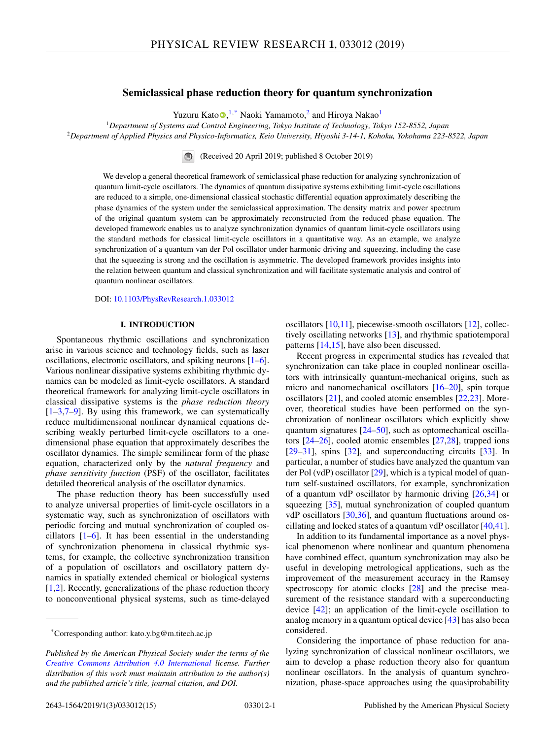# **Semiclassical phase reduction theory for quantum synchronization**

Yuzuru Kato D[,](https://orcid.org/0000-0001-8508-4677) <sup>1,\*</sup> Naoki Yamamoto,<sup>2</sup> and Hiroya Nakao<sup>1</sup>

<sup>1</sup>*Department of Systems and Control Engineering, Tokyo Institute of Technology, Tokyo 152-8552, Japan* <sup>2</sup>*Department of Applied Physics and Physico-Informatics, Keio University, Hiyoshi 3-14-1, Kohoku, Yokohama 223-8522, Japan*

(Received 20 April 2019; published 8 October 2019)

We develop a general theoretical framework of semiclassical phase reduction for analyzing synchronization of quantum limit-cycle oscillators. The dynamics of quantum dissipative systems exhibiting limit-cycle oscillations are reduced to a simple, one-dimensional classical stochastic differential equation approximately describing the phase dynamics of the system under the semiclassical approximation. The density matrix and power spectrum of the original quantum system can be approximately reconstructed from the reduced phase equation. The developed framework enables us to analyze synchronization dynamics of quantum limit-cycle oscillators using the standard methods for classical limit-cycle oscillators in a quantitative way. As an example, we analyze synchronization of a quantum van der Pol oscillator under harmonic driving and squeezing, including the case that the squeezing is strong and the oscillation is asymmetric. The developed framework provides insights into the relation between quantum and classical synchronization and will facilitate systematic analysis and control of quantum nonlinear oscillators.

DOI: [10.1103/PhysRevResearch.1.033012](https://doi.org/10.1103/PhysRevResearch.1.033012)

## **I. INTRODUCTION**

Spontaneous rhythmic oscillations and synchronization arise in various science and technology fields, such as laser oscillations, electronic oscillators, and spiking neurons [\[1–6\]](#page-12-0). Various nonlinear dissipative systems exhibiting rhythmic dynamics can be modeled as limit-cycle oscillators. A standard theoretical framework for analyzing limit-cycle oscillators in classical dissipative systems is the *phase reduction theory*  $[1-3,7-9]$ . By using this framework, we can systematically reduce multidimensional nonlinear dynamical equations describing weakly perturbed limit-cycle oscillators to a onedimensional phase equation that approximately describes the oscillator dynamics. The simple semilinear form of the phase equation, characterized only by the *natural frequency* and *phase sensitivity function* (PSF) of the oscillator, facilitates detailed theoretical analysis of the oscillator dynamics.

The phase reduction theory has been successfully used to analyze universal properties of limit-cycle oscillators in a systematic way, such as synchronization of oscillators with periodic forcing and mutual synchronization of coupled oscillators [\[1–6\]](#page-12-0). It has been essential in the understanding of synchronization phenomena in classical rhythmic systems, for example, the collective synchronization transition of a population of oscillators and oscillatory pattern dynamics in spatially extended chemical or biological systems  $[1,2]$ . Recently, generalizations of the phase reduction theory to nonconventional physical systems, such as time-delayed oscillators [\[10,11\]](#page-12-0), piecewise-smooth oscillators [\[12\]](#page-12-0), collectively oscillating networks [\[13\]](#page-12-0), and rhythmic spatiotemporal patterns [\[14,15\]](#page-12-0), have also been discussed.

Recent progress in experimental studies has revealed that synchronization can take place in coupled nonlinear oscillators with intrinsically quantum-mechanical origins, such as micro and nanomechanical oscillators [\[16–20\]](#page-12-0), spin torque oscillators [\[21\]](#page-12-0), and cooled atomic ensembles [\[22,23\]](#page-12-0). Moreover, theoretical studies have been performed on the synchronization of nonlinear oscillators which explicitly show quantum signatures [\[24](#page-12-0)[–50\]](#page-13-0), such as optomechanical oscillators [\[24–26\]](#page-12-0), cooled atomic ensembles [\[27,28\]](#page-12-0), trapped ions [\[29](#page-12-0)[–31\]](#page-13-0), spins [\[32\]](#page-13-0), and superconducting circuits [\[33\]](#page-13-0). In particular, a number of studies have analyzed the quantum van der Pol (vdP) oscillator [\[29\]](#page-12-0), which is a typical model of quantum self-sustained oscillators, for example, synchronization of a quantum vdP oscillator by harmonic driving [\[26,](#page-12-0)[34\]](#page-13-0) or squeezing [\[35\]](#page-13-0), mutual synchronization of coupled quantum vdP oscillators [\[30](#page-12-0)[,36\]](#page-13-0), and quantum fluctuations around oscillating and locked states of a quantum vdP oscillator [\[40,41\]](#page-13-0).

In addition to its fundamental importance as a novel physical phenomenon where nonlinear and quantum phenomena have combined effect, quantum synchronization may also be useful in developing metrological applications, such as the improvement of the measurement accuracy in the Ramsey spectroscopy for atomic clocks [\[28\]](#page-12-0) and the precise measurement of the resistance standard with a superconducting device [\[42\]](#page-13-0); an application of the limit-cycle oscillation to analog memory in a quantum optical device [\[43\]](#page-13-0) has also been considered.

Considering the importance of phase reduction for analyzing synchronization of classical nonlinear oscillators, we aim to develop a phase reduction theory also for quantum nonlinear oscillators. In the analysis of quantum synchronization, phase-space approaches using the quasiprobability

<sup>\*</sup>Corresponding author: kato.y.bg@m.titech.ac.jp

*Published by the American Physical Society under the terms of the [Creative Commons Attribution 4.0 International](https://creativecommons.org/licenses/by/4.0/) license. Further distribution of this work must maintain attribution to the author(s) and the published article's title, journal citation, and DOI.*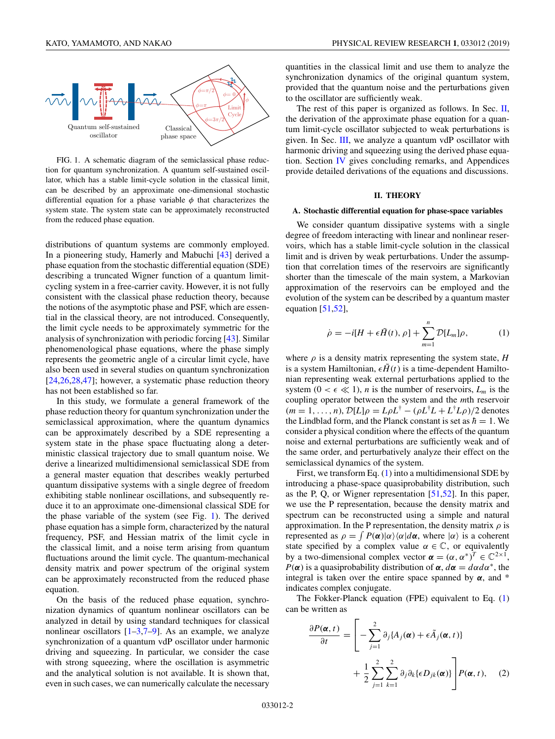<span id="page-1-0"></span>

FIG. 1. A schematic diagram of the semiclassical phase reduction for quantum synchronization. A quantum self-sustained oscillator, which has a stable limit-cycle solution in the classical limit, can be described by an approximate one-dimensional stochastic differential equation for a phase variable  $\phi$  that characterizes the system state. The system state can be approximately reconstructed from the reduced phase equation.

distributions of quantum systems are commonly employed. In a pioneering study, Hamerly and Mabuchi [\[43\]](#page-13-0) derived a phase equation from the stochastic differential equation (SDE) describing a truncated Wigner function of a quantum limitcycling system in a free-carrier cavity. However, it is not fully consistent with the classical phase reduction theory, because the notions of the asymptotic phase and PSF, which are essential in the classical theory, are not introduced. Consequently, the limit cycle needs to be approximately symmetric for the analysis of synchronization with periodic forcing [\[43\]](#page-13-0). Similar phenomenological phase equations, where the phase simply represents the geometric angle of a circular limit cycle, have also been used in several studies on quantum synchronization [\[24,26,28,](#page-12-0)[47\]](#page-13-0); however, a systematic phase reduction theory has not been established so far.

In this study, we formulate a general framework of the phase reduction theory for quantum synchronization under the semiclassical approximation, where the quantum dynamics can be approximately described by a SDE representing a system state in the phase space fluctuating along a deterministic classical trajectory due to small quantum noise. We derive a linearized multidimensional semiclassical SDE from a general master equation that describes weakly perturbed quantum dissipative systems with a single degree of freedom exhibiting stable nonlinear oscillations, and subsequently reduce it to an approximate one-dimensional classical SDE for the phase variable of the system (see Fig. 1). The derived phase equation has a simple form, characterized by the natural frequency, PSF, and Hessian matrix of the limit cycle in the classical limit, and a noise term arising from quantum fluctuations around the limit cycle. The quantum-mechanical density matrix and power spectrum of the original system can be approximately reconstructed from the reduced phase equation.

On the basis of the reduced phase equation, synchronization dynamics of quantum nonlinear oscillators can be analyzed in detail by using standard techniques for classical nonlinear oscillators  $[1-3,7-9]$ . As an example, we analyze synchronization of a quantum vdP oscillator under harmonic driving and squeezing. In particular, we consider the case with strong squeezing, where the oscillation is asymmetric and the analytical solution is not available. It is shown that, even in such cases, we can numerically calculate the necessary

quantities in the classical limit and use them to analyze the synchronization dynamics of the original quantum system, provided that the quantum noise and the perturbations given to the oscillator are sufficiently weak.

The rest of this paper is organized as follows. In Sec. II, the derivation of the approximate phase equation for a quantum limit-cycle oscillator subjected to weak perturbations is given. In Sec. [III,](#page-3-0) we analyze a quantum vdP oscillator with harmonic driving and squeezing using the derived phase equation. Section [IV](#page-7-0) gives concluding remarks, and Appendices provide detailed derivations of the equations and discussions.

## **II. THEORY**

#### **A. Stochastic differential equation for phase-space variables**

We consider quantum dissipative systems with a single degree of freedom interacting with linear and nonlinear reservoirs, which has a stable limit-cycle solution in the classical limit and is driven by weak perturbations. Under the assumption that correlation times of the reservoirs are significantly shorter than the timescale of the main system, a Markovian approximation of the reservoirs can be employed and the evolution of the system can be described by a quantum master equation  $[51,52]$ ,

$$
\dot{\rho} = -i[H + \epsilon \tilde{H}(t), \rho] + \sum_{m=1}^{n} \mathcal{D}[L_m]\rho, \qquad (1)
$$

where  $\rho$  is a density matrix representing the system state,  $H$ is a system Hamiltonian,  $\epsilon \tilde{H}(t)$  is a time-dependent Hamiltonian representing weak external perturbations applied to the system  $(0 < \epsilon \ll 1)$ , *n* is the number of reservoirs,  $L_m$  is the coupling operator between the system and the *m*th reservoir  $(m = 1, \ldots, n)$ ,  $\mathcal{D}[L]\rho = L\rho L^{\dagger} - (\rho L^{\dagger}L + L^{\dagger}L\rho)/2$  denotes the Lindblad form, and the Planck constant is set as  $\hbar = 1$ . We consider a physical condition where the effects of the quantum noise and external perturbations are sufficiently weak and of the same order, and perturbatively analyze their effect on the semiclassical dynamics of the system.

First, we transform Eq. (1) into a multidimensional SDE by introducing a phase-space quasiprobability distribution, such as the P, Q, or Wigner representation [\[51,52\]](#page-13-0). In this paper, we use the P representation, because the density matrix and spectrum can be reconstructed using a simple and natural approximation. In the P representation, the density matrix  $\rho$  is represented as  $\rho = \int P(\alpha)|\alpha\rangle\langle\alpha|d\alpha$ , where  $|\alpha\rangle$  is a coherent state specified by a complex value  $\alpha \in \mathbb{C}$ , or equivalently by a two-dimensional complex vector  $\boldsymbol{\alpha} = (\alpha, \alpha^*)^T \in \mathbb{C}^{2 \times 1}$ , *P*( $\alpha$ ) is a quasiprobability distribution of  $\alpha$ ,  $d\alpha = d\alpha d\alpha^*$ , the integral is taken over the entire space spanned by  $\alpha$ , and  $*$ indicates complex conjugate.

The Fokker-Planck equation (FPE) equivalent to Eq. (1) can be written as

$$
\frac{\partial P(\boldsymbol{\alpha},t)}{\partial t} = \left[ -\sum_{j=1}^{2} \partial_{j} \{ A_{j}(\boldsymbol{\alpha}) + \epsilon \tilde{A}_{j}(\boldsymbol{\alpha},t) \} + \frac{1}{2} \sum_{j=1}^{2} \sum_{k=1}^{2} \partial_{j} \partial_{k} \{ \epsilon D_{jk}(\boldsymbol{\alpha}) \} \right] P(\boldsymbol{\alpha},t), \quad (2)
$$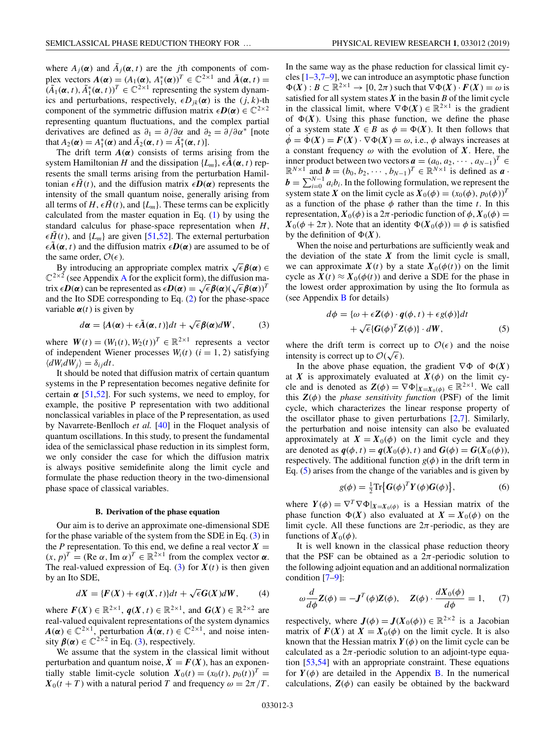<span id="page-2-0"></span>where  $A_j(\boldsymbol{\alpha})$  and  $\tilde{A}_j(\boldsymbol{\alpha}, t)$  are the *j*th components of complex vectors  $A(\boldsymbol{\alpha}) = (A_1(\boldsymbol{\alpha}), A_1^*(\boldsymbol{\alpha}))^T \in \mathbb{C}^{2 \times 1}$  and  $\tilde{A}(\boldsymbol{\alpha}, t) =$  $(\tilde{A}_1(\boldsymbol{\alpha}, t), \tilde{A}_1^*(\boldsymbol{\alpha}, t))^T \in \mathbb{C}^{2 \times 1}$  representing the system dynamics and perturbations, respectively,  $\epsilon D_{ik}(\alpha)$  is the  $(j, k)$ -th component of the symmetric diffusion matrix  $\epsilon \mathbf{D}(\alpha) \in \mathbb{C}^{2 \times 2}$ representing quantum fluctuations, and the complex partial derivatives are defined as  $\partial_1 = \partial/\partial \alpha$  and  $\partial_2 = \partial/\partial \alpha^*$  [note that  $A_2(\boldsymbol{\alpha}) = A_1^*(\boldsymbol{\alpha})$  and  $\tilde{A}_2(\boldsymbol{\alpha}, t) = \tilde{A}_1^*(\boldsymbol{\alpha}, t)$ .

The drift term  $A(\alpha)$  consists of terms arising from the system Hamiltonian *H* and the dissipation  $\{L_m\}$ ,  $\epsilon \mathbf{A}(\boldsymbol{\alpha}, t)$  represents the small terms arising from the perturbation Hamiltonian  $\epsilon \tilde{H}(t)$ , and the diffusion matrix  $\epsilon \mathbf{D}(\alpha)$  represents the intensity of the small quantum noise, generally arising from all terms of  $H$ ,  $\epsilon \tilde{H}(t)$ , and  $\{L_m\}$ . These terms can be explicitly calculated from the master equation in Eq. [\(1\)](#page-1-0) by using the standard calculus for phase-space representation when *H*,  $\epsilon \tilde{H}(t)$ , and  $\{L_m\}$  are given [\[51,52\]](#page-13-0). The external perturbation  $\epsilon \tilde{A}(\alpha, t)$  and the diffusion matrix  $\epsilon D(\alpha)$  are assumed to be of the same order,  $\mathcal{O}(\epsilon)$ .

By introducing an appropriate complex matrix  $\sqrt{\epsilon} \beta(\alpha) \in$  $\mathbb{C}^{2\times 2}$  (see [A](#page-8-0)ppendix A for the explicit form), the diffusion matrix  $\epsilon \mathbf{D}(\alpha)$  can be represented as  $\epsilon \mathbf{D}(\alpha) = \sqrt{\epsilon} \beta(\alpha) (\sqrt{\epsilon} \beta(\alpha))^T$ and the Ito SDE corresponding to Eq. [\(2\)](#page-1-0) for the phase-space variable  $\alpha(t)$  is given by

$$
d\alpha = \{A(\alpha) + \epsilon \tilde{A}(\alpha, t)\}dt + \sqrt{\epsilon} \beta(\alpha)dW, \qquad (3)
$$

where  $W(t) = (W_1(t), W_2(t))^T \in \mathbb{R}^{2 \times 1}$  represents a vector of independent Wiener processes  $W_i(t)$  ( $i = 1, 2$ ) satisfying  $\langle dW_i dW_j \rangle = \delta_{ij} dt$ .

It should be noted that diffusion matrix of certain quantum systems in the P representation becomes negative definite for certain  $\alpha$  [\[51,52\]](#page-13-0). For such systems, we need to employ, for example, the positive P representation with two additional nonclassical variables in place of the P representation, as used by Navarrete-Benlloch *et al.* [\[40\]](#page-13-0) in the Floquet analysis of quantum oscillations. In this study, to present the fundamental idea of the semiclassical phase reduction in its simplest form, we only consider the case for which the diffusion matrix is always positive semidefinite along the limit cycle and formulate the phase reduction theory in the two-dimensional phase space of classical variables.

### **B. Derivation of the phase equation**

Our aim is to derive an approximate one-dimensional SDE for the phase variable of the system from the SDE in Eq. (3) in the *P* representation. To this end, we define a real vector  $X =$  $(x, p)^T = (\text{Re } \alpha, \text{Im } \alpha)^T \in \mathbb{R}^{2 \times 1}$  from the complex vector  $\alpha$ . The real-valued expression of Eq. (3) for  $X(t)$  is then given by an Ito SDE,

$$
dX = \{F(X) + \epsilon q(X, t)\}dt + \sqrt{\epsilon}G(X)dW, \qquad (4)
$$

where  $F(X) \in \mathbb{R}^{2 \times 1}$ ,  $q(X, t) \in \mathbb{R}^{2 \times 1}$ , and  $G(X) \in \mathbb{R}^{2 \times 2}$  are real-valued equivalent representations of the system dynamics  $A(\alpha) \in \mathbb{C}^{2\times 1}$ , perturbation  $\tilde{A}(\alpha, t) \in \mathbb{C}^{2\times 1}$ , and noise intensity  $\beta(\alpha) \in \mathbb{C}^{2 \times 2}$  in Eq. (3), respectively.

We assume that the system in the classical limit without perturbation and quantum noise,  $\dot{X} = F(X)$ , has an exponentially stable limit-cycle solution  $X_0(t) = (x_0(t), p_0(t))^T$  =  $X_0(t + T)$  with a natural period *T* and frequency  $\omega = 2\pi/T$ . In the same way as the phase reduction for classical limit cycles  $[1-3,7-9]$ , we can introduce an asymptotic phase function  $\Phi(X): B \subset \mathbb{R}^{2 \times 1} \to [0, 2\pi)$  such that  $\nabla \Phi(X) \cdot F(X) = \omega$  is satisfied for all system states  $X$  in the basin  $B$  of the limit cycle in the classical limit, where  $\nabla \Phi(X) \in \mathbb{R}^{2 \times 1}$  is the gradient of  $\Phi(X)$ . Using this phase function, we define the phase of a system state  $X \in B$  as  $\phi = \Phi(X)$ . It then follows that  $\dot{\phi} = \dot{\Phi}(X) = F(X) \cdot \nabla \Phi(X) = \omega$ , i.e.,  $\phi$  always increases at a constant frequency  $\omega$  with the evolution of *X*. Here, the inner product between two vectors  $\boldsymbol{a} = (a_0, a_2, \dots, a_{N-1})^T \in$  $\mathbb{R}^{N \times 1}$  and  $\mathbf{b} = (b_0, b_2, \dots, b_{N-1})^T \in \mathbb{R}^{N \times 1}$  is defined as  $\mathbf{a}$ . **. In the following formulation, we represent the** system state *X* on the limit cycle as  $X_0(\phi) = (x_0(\phi), p_0(\phi))^T$ as a function of the phase  $\phi$  rather than the time *t*. In this representation,  $X_0(\phi)$  is a  $2\pi$ -periodic function of  $\phi$ ,  $X_0(\phi)$  =  $X_0(\phi + 2\pi)$ . Note that an identity  $\Phi(X_0(\phi)) = \phi$  is satisfied by the definition of  $\Phi(X)$ .

When the noise and perturbations are sufficiently weak and the deviation of the state  $X$  from the limit cycle is small, we can approximate  $X(t)$  by a state  $X_0(\phi(t))$  on the limit cycle as  $X(t) \approx X_0(\phi(t))$  and derive a SDE for the phase in the lowest order approximation by using the Ito formula as (see Appendix [B](#page-9-0) for details)

$$
d\phi = {\omega + \epsilon Z(\phi) \cdot q(\phi, t) + \epsilon g(\phi)}dt + \sqrt{\epsilon} {\{G(\phi)^T Z(\phi)\} \cdot dW},
$$
 (5)

where the drift term is correct up to  $\mathcal{O}(\epsilon)$  and the noise where the drift term is correct<br>intensity is correct up to  $\mathcal{O}(\sqrt{\epsilon})$ .

In the above phase equation, the gradient  $\nabla \Phi$  of  $\Phi(X)$ at *X* is approximately evaluated at  $X(\phi)$  on the limit cycle and is denoted as  $\mathbf{Z}(\phi) = \nabla \Phi|_{\mathbf{X} = \mathbf{X}_0(\phi)} \in \mathbb{R}^{2 \times 1}$ . We call this  $Z(\phi)$  the *phase sensitivity function* (PSF) of the limit cycle, which characterizes the linear response property of the oscillator phase to given perturbations [\[2,7\]](#page-12-0). Similarly, the perturbation and noise intensity can also be evaluated approximately at  $X = X_0(\phi)$  on the limit cycle and they are denoted as  $q(\phi, t) = q(X_0(\phi), t)$  and  $G(\phi) = G(X_0(\phi)),$ respectively. The additional function  $g(\phi)$  in the drift term in Eq. (5) arises from the change of the variables and is given by

$$
g(\phi) = \frac{1}{2} \text{Tr} \{ G(\phi)^T Y(\phi) G(\phi) \},\tag{6}
$$

where  $Y(\phi) = \nabla^T \nabla \Phi|_{X=X_0(\phi)}$  is a Hessian matrix of the phase function  $\Phi(X)$  also evaluated at  $X = X_0(\phi)$  on the limit cycle. All these functions are  $2\pi$ -periodic, as they are functions of  $X_0(\phi)$ .

It is well known in the classical phase reduction theory that the PSF can be obtained as a  $2\pi$ -periodic solution to the following adjoint equation and an additional normalization condition [\[7–9\]](#page-12-0):

$$
\omega \frac{d}{d\phi} \mathbf{Z}(\phi) = -\mathbf{J}^T(\phi) \mathbf{Z}(\phi), \quad \mathbf{Z}(\phi) \cdot \frac{d\mathbf{X}_0(\phi)}{d\phi} = 1,\tag{7}
$$

respectively, where  $J(\phi) = J(X_0(\phi)) \in \mathbb{R}^{2 \times 2}$  is a Jacobian matrix of  $F(X)$  at  $X = X_0(\phi)$  on the limit cycle. It is also known that the Hessian matrix  $Y(\phi)$  on the limit cycle can be calculated as a  $2\pi$ -periodic solution to an adjoint-type equation [\[53,54\]](#page-13-0) with an appropriate constraint. These equations for  $Y(\phi)$  are detailed in the Appendix [B.](#page-9-0) In the numerical calculations,  $Z(\phi)$  can easily be obtained by the backward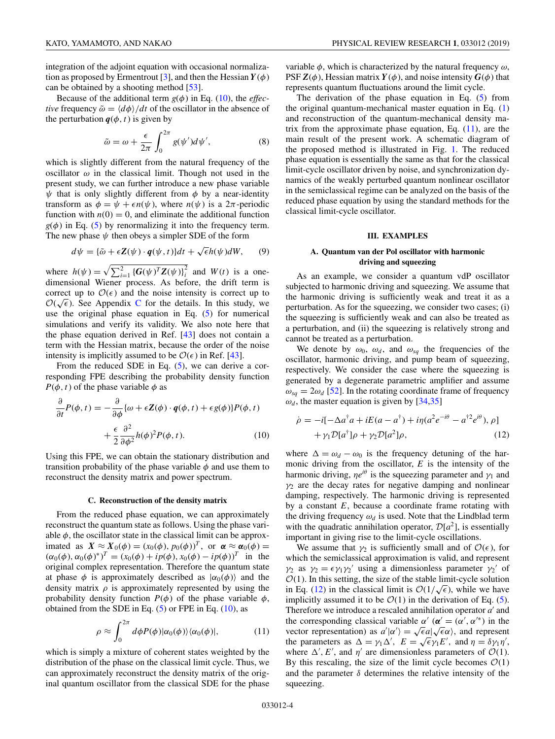<span id="page-3-0"></span>Because of the additional term  $g(\phi)$  in Eq. (10), the *effective* frequency  $\tilde{\omega} = \langle d\phi \rangle / dt$  of the oscillator in the absence of the perturbation  $q(\phi, t)$  is given by

$$
\tilde{\omega} = \omega + \frac{\epsilon}{2\pi} \int_0^{2\pi} g(\psi') d\psi', \tag{8}
$$

which is slightly different from the natural frequency of the oscillator  $\omega$  in the classical limit. Though not used in the present study, we can further introduce a new phase variable  $\psi$  that is only slightly different from  $\phi$  by a near-identity transform as  $\phi = \psi + \epsilon n(\psi)$ , where  $n(\psi)$  is a  $2\pi$ -periodic function with  $n(0) = 0$ , and eliminate the additional function  $g(\phi)$  in Eq. [\(5\)](#page-2-0) by renormalizing it into the frequency term. The new phase  $\psi$  then obeys a simpler SDE of the form

$$
d\psi = {\tilde{\omega} + \epsilon Z(\psi) \cdot q(\psi, t)}dt + \sqrt{\epsilon}h(\psi)dW, \qquad (9)
$$

where  $h(\psi) = \sqrt{\sum_{i=1}^{2} {\{G(\psi)^T Z(\psi)\}}_i^2}$  and  $W(t)$  is a onedimensional Wiener process. As before, the drift term is correct up to  $\mathcal{O}(\epsilon)$  and the noise intensity is correct up to correct up to  $O(\epsilon)$  and the noise intensity is correct up to  $O(\sqrt{\epsilon})$ . See Appendix [C](#page-10-0) for the details. In this study, we use the original phase equation in Eq. [\(5\)](#page-2-0) for numerical simulations and verify its validity. We also note here that the phase equation derived in Ref. [\[43\]](#page-13-0) does not contain a term with the Hessian matrix, because the order of the noise intensity is implicitly assumed to be  $\mathcal{O}(\epsilon)$  in Ref. [\[43\]](#page-13-0).

From the reduced SDE in Eq. [\(5\)](#page-2-0), we can derive a corresponding FPE describing the probability density function  $P(\phi, t)$  of the phase variable  $\phi$  as

$$
\frac{\partial}{\partial t}P(\phi, t) = -\frac{\partial}{\partial \phi} \{\omega + \epsilon \mathbf{Z}(\phi) \cdot \mathbf{q}(\phi, t) + \epsilon g(\phi)\} P(\phi, t) \n+ \frac{\epsilon}{2} \frac{\partial^2}{\partial \phi^2} h(\phi)^2 P(\phi, t).
$$
\n(10)

Using this FPE, we can obtain the stationary distribution and transition probability of the phase variable  $\phi$  and use them to reconstruct the density matrix and power spectrum.

#### **C. Reconstruction of the density matrix**

From the reduced phase equation, we can approximately reconstruct the quantum state as follows. Using the phase variable  $\phi$ , the oscillator state in the classical limit can be approximated as  $X \approx X_0(\phi) = (x_0(\phi), p_0(\phi))^T$ , or  $\alpha \approx \alpha_0(\phi) =$  $(\alpha_0(\phi), \alpha_0(\phi)^*)^T = (x_0(\phi) + ip(\phi), x_0(\phi) - ip(\phi))^T$  in the original complex representation. Therefore the quantum state at phase  $\phi$  is approximately described as  $|\alpha_0(\phi)\rangle$  and the density matrix  $\rho$  is approximately represented by using the probability density function  $P(\phi)$  of the phase variable  $\phi$ , obtained from the SDE in Eq.  $(5)$  or FPE in Eq.  $(10)$ , as

$$
\rho \approx \int_0^{2\pi} d\phi P(\phi) |\alpha_0(\phi)\rangle \langle \alpha_0(\phi)|, \tag{11}
$$

which is simply a mixture of coherent states weighted by the distribution of the phase on the classical limit cycle. Thus, we can approximately reconstruct the density matrix of the original quantum oscillator from the classical SDE for the phase variable  $\phi$ , which is characterized by the natural frequency  $\omega$ , PSF  $\mathbf{Z}(\phi)$ , Hessian matrix  $\mathbf{Y}(\phi)$ , and noise intensity  $\mathbf{G}(\phi)$  that represents quantum fluctuations around the limit cycle.

The derivation of the phase equation in Eq. [\(5\)](#page-2-0) from the original quantum-mechanical master equation in Eq. [\(1\)](#page-1-0) and reconstruction of the quantum-mechanical density matrix from the approximate phase equation, Eq.  $(11)$ , are the main result of the present work. A schematic diagram of the proposed method is illustrated in Fig. [1.](#page-1-0) The reduced phase equation is essentially the same as that for the classical limit-cycle oscillator driven by noise, and synchronization dynamics of the weakly perturbed quantum nonlinear oscillator in the semiclassical regime can be analyzed on the basis of the reduced phase equation by using the standard methods for the classical limit-cycle oscillator.

#### **III. EXAMPLES**

## **A. Quantum van der Pol oscillator with harmonic driving and squeezing**

As an example, we consider a quantum vdP oscillator subjected to harmonic driving and squeezing. We assume that the harmonic driving is sufficiently weak and treat it as a perturbation. As for the squeezing, we consider two cases; (i) the squeezing is sufficiently weak and can also be treated as a perturbation, and (ii) the squeezing is relatively strong and cannot be treated as a perturbation.

We denote by  $\omega_0$ ,  $\omega_d$ , and  $\omega_{sq}$  the frequencies of the oscillator, harmonic driving, and pump beam of squeezing, respectively. We consider the case where the squeezing is generated by a degenerate parametric amplifier and assume  $\omega_{sq} = 2\omega_d$  [\[52\]](#page-13-0). In the rotating coordinate frame of frequency  $\omega_d$ , the master equation is given by [\[34,35\]](#page-13-0)

$$
\dot{\rho} = -i[-\Delta a^{\dagger} a + iE(a - a^{\dagger}) + i\eta (a^2 e^{-i\theta} - a^{\dagger 2} e^{i\theta}), \rho]
$$

$$
+ \gamma_1 \mathcal{D}[a^{\dagger}] \rho + \gamma_2 \mathcal{D}[a^2] \rho, \qquad (12)
$$

where  $\Delta = \omega_d - \omega_0$  is the frequency detuning of the harmonic driving from the oscillator, *E* is the intensity of the harmonic driving,  $\eta e^{i\theta}$  is the squeezing parameter and  $\gamma_1$  and  $\gamma_2$  are the decay rates for negative damping and nonlinear damping, respectively. The harmonic driving is represented by a constant *E*, because a coordinate frame rotating with the driving frequency  $\omega_d$  is used. Note that the Lindblad term with the quadratic annihilation operator,  $\mathcal{D}[a^2]$ , is essentially important in giving rise to the limit-cycle oscillations.

We assume that  $\gamma_2$  is sufficiently small and of  $\mathcal{O}(\epsilon)$ , for which the semiclassical approximation is valid, and represent  $\gamma_2$  as  $\gamma_2 = \epsilon \gamma_1 \gamma_2'$  using a dimensionless parameter  $\gamma_2'$  of  $\mathcal{O}(1)$ . In this setting, the size of the stable limit-cycle solution  $O(1)$ . In this setting, the size of the stable limit-cycle solution<br>in Eq. (12) in the classical limit is  $O(1/\sqrt{\epsilon})$ , while we have implicitly assumed it to be  $\mathcal{O}(1)$  in the derivation of Eq. [\(5\)](#page-2-0). Therefore we introduce a rescaled annihilation operator *a* and the corresponding classical variable  $\alpha'$  ( $\alpha' = (\alpha', \alpha'^*)$ ) in the ine corresponding classical variable  $\alpha$  ( $\alpha = (\alpha, \alpha')$ ) in the vector representation) as  $a'|\alpha'\rangle = \sqrt{\epsilon}a|\sqrt{\epsilon}\alpha\rangle$ , and represent vector representation) as  $a | \alpha \rangle = \sqrt{\epsilon} a | \sqrt{\epsilon} \alpha \rangle$ , and represent<br>the parameters as  $\Delta = \gamma_1 \Delta'$ ,  $E = \sqrt{\epsilon} \gamma_1 E'$ , and  $\eta = \delta \gamma_1 \eta'$ , where  $\Delta'$ , *E'*, and  $\eta'$  are dimensionless parameters of  $\mathcal{O}(1)$ . By this rescaling, the size of the limit cycle becomes  $\mathcal{O}(1)$ and the parameter  $\delta$  determines the relative intensity of the squeezing.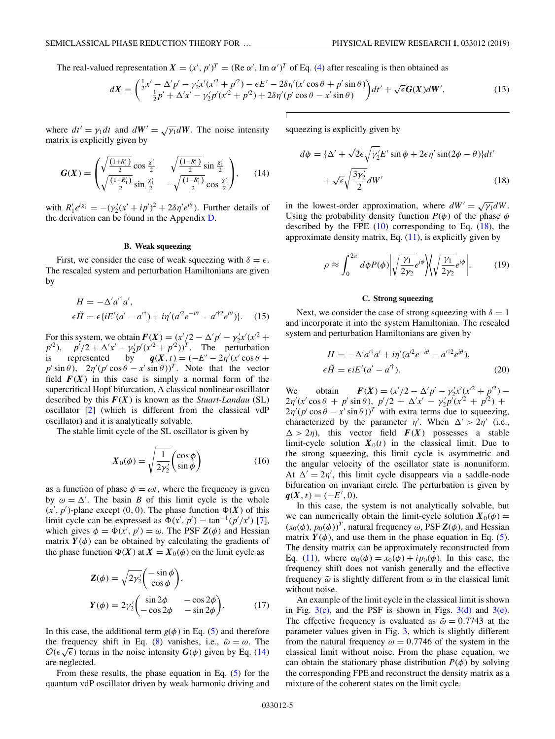<span id="page-4-0"></span>The real-valued representation  $X = (x', p')^T = (\text{Re }\alpha', \text{Im }\alpha')^T$  of Eq. [\(4\)](#page-2-0) after rescaling is then obtained as

$$
dX = \left(\frac{\frac{1}{2}x' - \Delta' p' - \gamma_2' x'(x'^2 + p'^2) - \epsilon E' - 2\delta \eta'(x' \cos \theta + p' \sin \theta)}{\frac{1}{2}p' + \Delta' x' - \gamma_2' p'(x'^2 + p'^2) + 2\delta \eta'(p' \cos \theta - x' \sin \theta)}\right) dt' + \sqrt{\epsilon} G(X) dW',\tag{13}
$$

where  $dt' = \gamma_1 dt$  and  $dW' = \sqrt{\gamma_1} dW$ . The noise intensity matrix is explicitly given by

$$
G(X) = \begin{pmatrix} \sqrt{\frac{(1+R'_1)}{2}} \cos \frac{\chi'_1}{2} & \sqrt{\frac{(1-R'_1)}{2}} \sin \frac{\chi'_1}{2} \\ \sqrt{\frac{(1+R'_1)}{2}} \sin \frac{\chi'_1}{2} & -\sqrt{\frac{(1-R'_1)}{2}} \cos \frac{\chi'_1}{2} \end{pmatrix}, \qquad (14)
$$

with  $R'_1e^{i\chi'_1} = -(\gamma'_2(x'+ip')^2 + 2\delta\eta'e^{i\theta})$ . Further details of the derivation can be found in the Appendix [D.](#page-11-0)

### **B. Weak squeezing**

First, we consider the case of weak squeezing with  $\delta = \epsilon$ . The rescaled system and perturbation Hamiltonians are given by

$$
H = -\Delta' a'^{\dagger} a',
$$
  
\n
$$
\epsilon \tilde{H} = \epsilon \{ i E'(a' - a'^{\dagger}) + i \eta' (a'^2 e^{-i\theta} - a'^{\dagger 2} e^{i\theta}) \}.
$$
 (15)

For this system, we obtain  $F(X) = (x'/2 - \Delta' p' - \gamma'_2 x' (x'^2 +$  $p^{2}$ ),  $p^{7}/2 + \Delta' x' - \gamma'_{2} p^{7}(x^{2} + p^{2})^{T}$ . The perturbation is represented by  $q(X, t) = (-E' - 2\eta'(x' \cos \theta +$  $p' \sin \theta$ ,  $2\eta' (p' \cos \theta - x' \sin \theta)$ <sup>T</sup>. Note that the vector field  $F(X)$  in this case is simply a normal form of the supercritical Hopf bifurcation. A classical nonlinear oscillator described by this *F*(*X*) is known as the *Stuart-Landau* (SL) oscillator [\[2\]](#page-12-0) (which is different from the classical vdP oscillator) and it is analytically solvable.

The stable limit cycle of the SL oscillator is given by

$$
X_0(\phi) = \sqrt{\frac{1}{2\gamma_2'}} \begin{pmatrix} \cos\phi \\ \sin\phi \end{pmatrix}
$$
 (16)

as a function of phase  $\phi = \omega t$ , where the frequency is given by  $\omega = \Delta'$ . The basin *B* of this limit cycle is the whole  $(x', p')$ -plane except (0, 0). The phase function  $\Phi(X)$  of this limit cycle can be expressed as  $\Phi(x', p') = \tan^{-1}(p'/x')$  [\[7\]](#page-12-0), which gives  $\dot{\phi} = \dot{\Phi}(x', p') = \omega$ . The PSF  $\mathbf{Z}(\phi)$  and Hessian matrix  $Y(\phi)$  can be obtained by calculating the gradients of the phase function  $\Phi(X)$  at  $X = X_0(\phi)$  on the limit cycle as

$$
Z(\phi) = \sqrt{2\gamma_2'} \begin{pmatrix} -\sin\phi \\ \cos\phi \end{pmatrix},
$$
  
\n
$$
Y(\phi) = 2\gamma_2' \begin{pmatrix} \sin 2\phi & -\cos 2\phi \\ -\cos 2\phi & -\sin 2\phi \end{pmatrix}.
$$
 (17)

In this case, the additional term  $g(\phi)$  in Eq. [\(5\)](#page-2-0) and therefore the frequency shift in Eq. [\(8\)](#page-3-0) vanishes, i.e.,  $\tilde{\omega} = \omega$ . The the requency shift in Eq. (8) vanishes, i.e.,  $\omega = \omega$ . The  $\mathcal{O}(\epsilon \sqrt{\epsilon})$  terms in the noise intensity  $G(\phi)$  given by Eq. (14) are neglected.

From these results, the phase equation in Eq. [\(5\)](#page-2-0) for the quantum vdP oscillator driven by weak harmonic driving and squeezing is explicitly given by

$$
d\phi = {\Delta' + \sqrt{2}\epsilon \sqrt{\gamma'_2}E' \sin \phi + 2\epsilon \eta' \sin(2\phi - \theta)} dt'
$$
  
+  $\sqrt{\epsilon} \sqrt{\frac{3\gamma'_2}{2}} dW'$  (18)

in the lowest-order approximation, where  $dW' = \sqrt{\gamma_1} dW$ . Using the probability density function  $P(\phi)$  of the phase  $\phi$ described by the FPE  $(10)$  corresponding to Eq.  $(18)$ , the approximate density matrix, Eq.  $(11)$ , is explicitly given by

$$
\rho \approx \int_0^{2\pi} d\phi P(\phi) \left| \sqrt{\frac{\gamma_1}{2\gamma_2}} e^{i\phi} \right| \sqrt{\frac{\gamma_1}{2\gamma_2}} e^{i\phi} \left| . \right. \tag{19}
$$

### **C. Strong squeezing**

Next, we consider the case of strong squeezing with  $\delta = 1$ and incorporate it into the system Hamiltonian. The rescaled system and perturbation Hamiltonians are given by

$$
H = -\Delta' a'^\dagger a' + i\eta' (a'^2 e^{-i\theta} - a'^{\dagger 2} e^{i\theta}),
$$
  
\n
$$
\epsilon \tilde{H} = \epsilon i E' (a' - a'^\dagger).
$$
\n(20)

We obtain  $F(X) = (x'/2 - \Delta' p' - \gamma'_2 x' (x'^2 + p'^2) 2\eta'(x'\cos\theta + p'\sin\theta)$ ,  $p'/2 + \Delta' x' - \gamma'_2 p'(x'^2 + p'^2) +$  $2\eta' (p' \cos \theta - x' \sin \theta)$ <sup>T</sup> with extra terms due to squeezing, characterized by the parameter  $\eta'$ . When  $\Delta' > 2\eta'$  (i.e.,  $\Delta > 2\eta$ ), this vector field  $F(X)$  possesses a stable limit-cycle solution  $X_0(t)$  in the classical limit. Due to the strong squeezing, this limit cycle is asymmetric and the angular velocity of the oscillator state is nonuniform. At  $\Delta' = 2\eta'$ , this limit cycle disappears via a saddle-node bifurcation on invariant circle. The perturbation is given by  $q(X, t) = (-E', 0).$ 

In this case, the system is not analytically solvable, but we can numerically obtain the limit-cycle solution  $X_0(\phi)$  =  $(x_0(\phi), p_0(\phi))^T$ , natural frequency  $\omega$ , PSF  $\mathbf{Z}(\phi)$ , and Hessian matrix  $Y(\phi)$ , and use them in the phase equation in Eq. [\(5\)](#page-2-0). The density matrix can be approximately reconstructed from Eq. [\(11\)](#page-3-0), where  $\alpha_0(\phi) = x_0(\phi) + i p_0(\phi)$ . In this case, the frequency shift does not vanish generally and the effective frequency  $\tilde{\omega}$  is slightly different from  $\omega$  in the classical limit without noise.

An example of the limit cycle in the classical limit is shown in Fig.  $3(c)$ , and the PSF is shown in Figs.  $3(d)$  and  $3(e)$ . The effective frequency is evaluated as  $\tilde{\omega} = 0.7743$  at the parameter values given in Fig. [3,](#page-6-0) which is slightly different from the natural frequency  $\omega = 0.7746$  of the system in the classical limit without noise. From the phase equation, we can obtain the stationary phase distribution  $P(\phi)$  by solving the corresponding FPE and reconstruct the density matrix as a mixture of the coherent states on the limit cycle.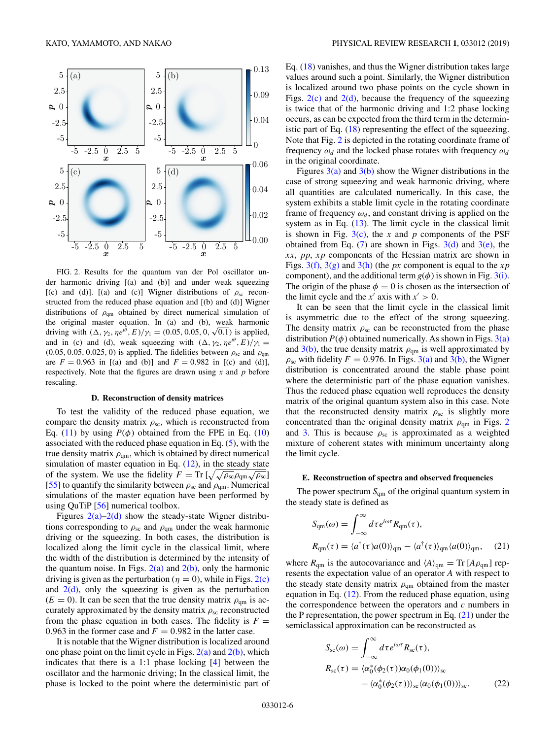

FIG. 2. Results for the quantum van der Pol oscillator under harmonic driving [(a) and (b)] and under weak squeezing [(c) and (d)]. [(a) and (c)] Wigner distributions of  $\rho_{\rm sc}$  reconstructed from the reduced phase equation and [(b) and (d)] Wigner distributions of  $\rho_{qm}$  obtained by direct numerical simulation of the original master equation. In (a) and (b), weak harmonic the original master equation. In (a) and (b), weak harmonic<br>driving with  $(\Delta, \gamma_2, \eta e^{i\theta}, E)/\gamma_1 = (0.05, 0.05, 0, \sqrt{0.1})$  is applied, and in (c) and (d), weak squeezing with  $(\Delta, \gamma_2, \eta e^{i\theta}, E)/\gamma_1 =$  $(0.05, 0.05, 0.025, 0)$  is applied. The fidelities between  $\rho_{\rm sc}$  and  $\rho_{\rm qm}$ are  $F = 0.963$  in [(a) and (b)] and  $F = 0.982$  in [(c) and (d)], respectively. Note that the figures are drawn using *x* and *p* before rescaling.

#### **D. Reconstruction of density matrices**

To test the validity of the reduced phase equation, we compare the density matrix  $\rho_{\rm sc}$ , which is reconstructed from Eq. [\(11\)](#page-3-0) by using  $P(\phi)$  obtained from the FPE in Eq. [\(10\)](#page-3-0) associated with the reduced phase equation in Eq. [\(5\)](#page-2-0), with the true density matrix  $\rho_{qm}$ , which is obtained by direct numerical simulation of master equation in Eq.  $(12)$ , in the steady state of the system. We use the fidelity  $F = \text{Tr} \left[ \sqrt{\sqrt{\rho_{\rm sc}} \rho_{\rm qm} \sqrt{\rho_{\rm sc}}} \right]$ [\[55\]](#page-13-0) to quantify the similarity between  $\rho_{sc}$  and  $\rho_{qm}$ . Numerical simulations of the master equation have been performed by using QuTiP [\[56\]](#page-13-0) numerical toolbox.

Figures  $2(a)-2(d)$  show the steady-state Wigner distributions corresponding to  $\rho_{sc}$  and  $\rho_{qm}$  under the weak harmonic driving or the squeezing. In both cases, the distribution is localized along the limit cycle in the classical limit, where the width of the distribution is determined by the intensity of the quantum noise. In Figs.  $2(a)$  and  $2(b)$ , only the harmonic driving is given as the perturbation ( $\eta = 0$ ), while in Figs. 2(c) and  $2(d)$ , only the squeezing is given as the perturbation  $(E = 0)$ . It can be seen that the true density matrix  $\rho_{\rm cm}$  is accurately approximated by the density matrix  $\rho_{\rm sc}$  reconstructed from the phase equation in both cases. The fidelity is  $F =$ 0.963 in the former case and  $F = 0.982$  in the latter case.

It is notable that the Wigner distribution is localized around one phase point on the limit cycle in Figs.  $2(a)$  and  $2(b)$ , which indicates that there is a 1:1 phase locking [\[4\]](#page-12-0) between the oscillator and the harmonic driving; In the classical limit, the phase is locked to the point where the deterministic part of Eq. [\(18\)](#page-4-0) vanishes, and thus the Wigner distribution takes large values around such a point. Similarly, the Wigner distribution is localized around two phase points on the cycle shown in Figs.  $2(c)$  and  $2(d)$ , because the frequency of the squeezing is twice that of the harmonic driving and 1:2 phase locking occurs, as can be expected from the third term in the deterministic part of Eq. [\(18\)](#page-4-0) representing the effect of the squeezing. Note that Fig. 2 is depicted in the rotating coordinate frame of frequency  $\omega_d$  and the locked phase rotates with frequency  $\omega_d$ in the original coordinate.

Figures  $3(a)$  and  $3(b)$  show the Wigner distributions in the case of strong squeezing and weak harmonic driving, where all quantities are calculated numerically. In this case, the system exhibits a stable limit cycle in the rotating coordinate frame of frequency  $\omega_d$ , and constant driving is applied on the system as in Eq.  $(13)$ . The limit cycle in the classical limit is shown in Fig. [3\(c\),](#page-6-0) the *x* and *p* components of the PSF obtained from Eq.  $(7)$  are shown in Figs.  $3(d)$  and  $3(e)$ , the *xx*, *pp*, *x p* components of the Hessian matrix are shown in Figs. [3\(f\),](#page-6-0) [3\(g\)](#page-6-0) and [3\(h\)](#page-6-0) (the *px* component is equal to the *x p* component), and the additional term  $g(\phi)$  is shown in Fig. [3\(i\).](#page-6-0) The origin of the phase  $\phi = 0$  is chosen as the intersection of the limit cycle and the  $x'$  axis with  $x' > 0$ .

It can be seen that the limit cycle in the classical limit is asymmetric due to the effect of the strong squeezing. The density matrix  $\rho_{\rm sc}$  can be reconstructed from the phase distribution  $P(\phi)$  obtained numerically. As shown in Figs. [3\(a\)](#page-6-0) and  $3(b)$ , the true density matrix  $\rho_{qm}$  is well approximated by  $\rho_{\rm sc}$  with fidelity  $F = 0.976$ . In Figs. [3\(a\)](#page-6-0) and [3\(b\),](#page-6-0) the Wigner distribution is concentrated around the stable phase point where the deterministic part of the phase equation vanishes. Thus the reduced phase equation well reproduces the density matrix of the original quantum system also in this case. Note that the reconstructed density matrix  $\rho_{\rm sc}$  is slightly more concentrated than the original density matrix  $\rho_{\rm qm}$  in Figs. 2 and [3.](#page-6-0) This is because  $\rho_{\rm sc}$  is approximated as a weighted mixture of coherent states with minimum uncertainty along the limit cycle.

#### **E. Reconstruction of spectra and observed frequencies**

The power spectrum  $S_{qm}$  of the original quantum system in the steady state is defined as

$$
S_{qm}(\omega) = \int_{-\infty}^{\infty} d\tau e^{i\omega \tau} R_{qm}(\tau),
$$
  
\n
$$
R_{qm}(\tau) = \langle a^{\dagger}(\tau)a(0)\rangle_{qm} - \langle a^{\dagger}(\tau)\rangle_{qm}\langle a(0)\rangle_{qm}, \quad (21)
$$

where  $R_{qm}$  is the autocovariance and  $\langle A \rangle_{qm} = \text{Tr} [A \rho_{qm}]$  represents the expectation value of an operator *A* with respect to the steady state density matrix  $\rho_{qm}$  obtained from the master equation in Eq.  $(12)$ . From the reduced phase equation, using the correspondence between the operators and *c* numbers in the P representation, the power spectrum in Eq.  $(21)$  under the semiclassical approximation can be reconstructed as

$$
S_{sc}(\omega) = \int_{-\infty}^{\infty} d\tau e^{i\omega\tau} R_{sc}(\tau),
$$
  
\n
$$
R_{sc}(\tau) = \langle \alpha_0^*(\phi_2(\tau))\alpha_0(\phi_1(0)) \rangle_{sc}
$$
  
\n
$$
- \langle \alpha_0^*(\phi_2(\tau)) \rangle_{sc} \langle \alpha_0(\phi_1(0)) \rangle_{sc}.
$$
 (22)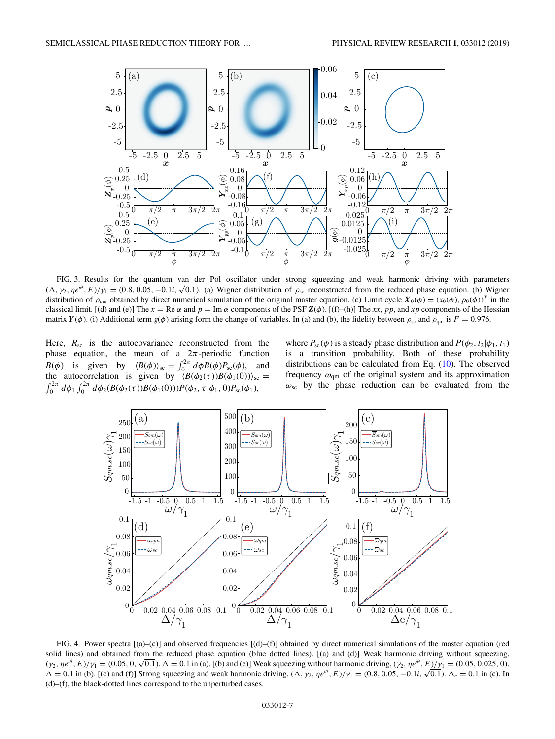<span id="page-6-0"></span>

FIG. 3. Results for the quantum van der Pol oscillator under strong squeezing and weak harmonic driving with parameters FIG. 3. Results for the quantum van der Pot oscillator under strong squeezing and weak narmonic driving with parameters (Δ, γ<sub>2</sub>, ηe<sup>iθ</sup>, E)/γ<sub>1</sub> = (0.8, 0.05, −0.1*i*, √0.1). (a) Wigner distribution of  $\rho_{sc}$  reconstr distribution of  $\rho_{\text{qm}}$  obtained by direct numerical simulation of the original master equation. (c) Limit cycle  $X_0(\phi) = (x_0(\phi), p_0(\phi))^T$  in the classical limit. [(d) and (e)] The  $x = \text{Re }\alpha$  and  $p = \text{Im }\alpha$  components of the PSF  $\mathbf{Z}(\phi)$ . [(f)–(h)] The *xx*, *pp*, and *xp* components of the Hessian matrix  $Y(\phi)$ . (i) Additional term  $g(\phi)$  arising form the change of variables. In (a) and (b), the fidelity between  $\rho_{sc}$  and  $\rho_{qm}$  is  $F = 0.976$ .

Here,  $R_{\rm sc}$  is the autocovariance reconstructed from the phase equation, the mean of a  $2\pi$ -periodic function  $B(\phi)$  is given by  $\langle B(\phi) \rangle_{\rm sc} = \int_0^{2\pi} d\phi B(\phi) P_{\rm sc}(\phi)$ , and the autocorrelation is given by  $\langle B(\phi_2(\tau))B(\phi_1(0))\rangle_{\rm sc} =$  $\int_0^{2\pi} d\phi_1 \int_0^{2\pi} d\phi_2(B(\phi_2(\tau))B(\phi_1(0))) P(\phi_2, \tau | \phi_1, 0) P_{\rm sc}(\phi_1),$ 

where  $P_{\text{sc}}(\phi)$  is a steady phase distribution and  $P(\phi_2, t_2 | \phi_1, t_1)$ is a transition probability. Both of these probability distributions can be calculated from Eq. [\(10\)](#page-3-0). The observed frequency  $\omega_{qm}$  of the original system and its approximation  $\omega_{\rm sc}$  by the phase reduction can be evaluated from the



FIG. 4. Power spectra [(a)–(c)] and observed frequencies [(d)–(f)] obtained by direct numerical simulations of the master equation (red solid lines) and obtained from the reduced phase equation (blue dotted lines). [(a) and (d)] Weak harmonic driving without squeezing, Solid lines) and obtained from the reduced phase equation (blue dotted lines). [(a) and (d)] weak harmonic driving without squeezing,  $(\gamma_2, \eta e^{i\theta}, E)/\gamma_1 = (0.05, 0.025, 0)$ .<br> $(\gamma_2, \eta e^{i\theta}, E)/\gamma_1 = (0.05, 0.025, 0)$ .  $(\gamma_2, \eta e^{\gamma}, E)/\gamma_1 = (0.05, 0, \sqrt{0.1})$ .  $\Delta = 0.1$  in (a). [(b) and (e)] weak squeezing without narmonic driving,  $(\gamma_2, \eta e^{\gamma}, E)/\gamma_1 = (0.05, 0.025, 0)$ .<br> $\Delta = 0.1$  in (b). [(c) and (f)] Strong squeezing and weak harmonic dri (d)–(f), the black-dotted lines correspond to the unperturbed cases.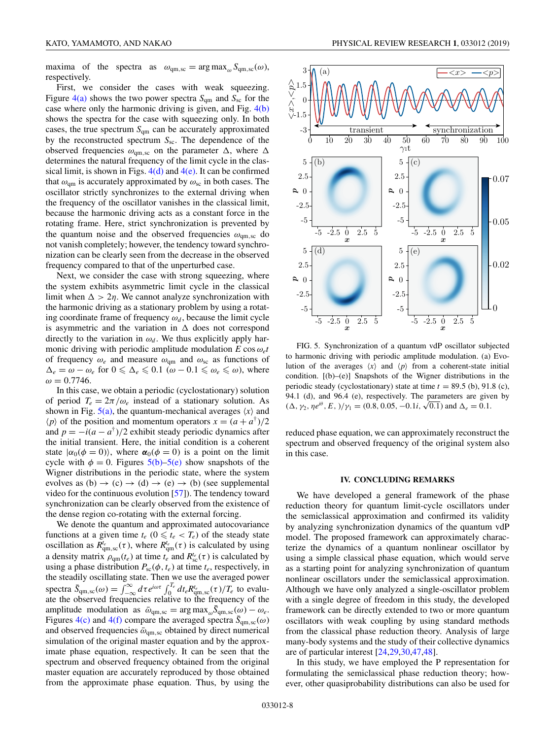<span id="page-7-0"></span>maxima of the spectra as  $\omega_{qm,sc} = \arg \max_{\omega} S_{qm,sc}(\omega)$ , respectively.

First, we consider the cases with weak squeezing. Figure  $4(a)$  shows the two power spectra  $S_{qm}$  and  $S_{sc}$  for the case where only the harmonic driving is given, and Fig. [4\(b\)](#page-6-0) shows the spectra for the case with squeezing only. In both cases, the true spectrum  $S_{qm}$  can be accurately approximated by the reconstructed spectrum *S<sub>sc</sub>*. The dependence of the observed frequencies  $\omega_{qm,sc}$  on the parameter  $\Delta$ , where  $\Delta$ determines the natural frequency of the limit cycle in the classical limit, is shown in Figs.  $4(d)$  and  $4(e)$ . It can be confirmed that  $\omega_{qm}$  is accurately approximated by  $\omega_{sc}$  in both cases. The oscillator strictly synchronizes to the external driving when the frequency of the oscillator vanishes in the classical limit, because the harmonic driving acts as a constant force in the rotating frame. Here, strict synchronization is prevented by the quantum noise and the observed frequencies  $\omega_{\rm qm,sc}$  do not vanish completely; however, the tendency toward synchronization can be clearly seen from the decrease in the observed frequency compared to that of the unperturbed case.

Next, we consider the case with strong squeezing, where the system exhibits asymmetric limit cycle in the classical limit when  $\Delta > 2\eta$ . We cannot analyze synchronization with the harmonic driving as a stationary problem by using a rotating coordinate frame of frequency  $\omega_d$ , because the limit cycle is asymmetric and the variation in  $\Delta$  does not correspond directly to the variation in  $\omega_d$ . We thus explicitly apply harmonic driving with periodic amplitude modulation  $E \cos \omega_e t$ of frequency  $\omega_e$  and measure  $\omega_{qm}$  and  $\omega_{sc}$  as functions of  $\Delta_e = \omega - \omega_e$  for  $0 \le \Delta_e \le 0.1$  ( $\omega - 0.1 \le \omega_e \le \omega$ ), where  $ω = 0.7746$ .

In this case, we obtain a periodic (cyclostationary) solution of period  $T_e = 2\pi/\omega_e$  instead of a stationary solution. As shown in Fig.  $5(a)$ , the quantum-mechanical averages  $\langle x \rangle$  and  $\langle p \rangle$  of the position and momentum operators  $x = (a + a^{\dagger})/2$ and  $p = -i(a - a^{\dagger})/2$  exhibit steady periodic dynamics after the initial transient. Here, the initial condition is a coherent state  $|\alpha_0(\phi = 0)\rangle$ , where  $\alpha_0(\phi = 0)$  is a point on the limit cycle with  $\phi = 0$ . Figures 5(b)–5(e) show snapshots of the Wigner distributions in the periodic state, where the system evolves as  $(b) \rightarrow (c) \rightarrow (d) \rightarrow (e) \rightarrow (b)$  (see supplemental video for the continuous evolution [\[57\]](#page-13-0)). The tendency toward synchronization can be clearly observed from the existence of the dense region co-rotating with the external forcing.

We denote the quantum and approximated autocovariance functions at a given time  $t_e$  ( $0 \leq t_e < T_e$ ) of the steady state oscillation as  $R_{qm,\text{sc}}^{t_e}(\tau)$ , where  $R_{qm}^{t_e}(\tau)$  is calculated by using a density matrix  $\rho_{qm}(t_e)$  at time  $t_e$  and  $R_{sc}^{t_e}(\tau)$  is calculated by using a phase distribution  $P_{\text{sc}}(\phi, t_e)$  at time  $t_e$ , respectively, in the steadily oscillating state. Then we use the averaged power spectra  $\bar{S}_{qm,\text{sc}}(\omega) = \int_{-\infty}^{\infty} d\tau e^{i\omega \tau} \int_{0}^{T_e} dt_e R_{qm,\text{sc}}^{\prime}(\tau)/T_e$  to evaluate the observed frequencies relative to the frequency of the amplitude modulation as  $\bar{\omega}_{qm,sc} = \arg \max_{\omega} \bar{S}_{qm,sc}(\omega) - \omega_e$ . Figures [4\(c\)](#page-6-0) and [4\(f\)](#page-6-0) compare the averaged spectra  $\bar{S}_{qm,sc}(\omega)$ and observed frequencies  $\bar{\omega}_{qm,sc}$  obtained by direct numerical simulation of the original master equation and by the approximate phase equation, respectively. It can be seen that the spectrum and observed frequency obtained from the original master equation are accurately reproduced by those obtained from the approximate phase equation. Thus, by using the



FIG. 5. Synchronization of a quantum vdP oscillator subjected to harmonic driving with periodic amplitude modulation. (a) Evolution of the averages  $\langle x \rangle$  and  $\langle p \rangle$  from a coherent-state initial condition. [(b)–(e)] Snapshots of the Wigner distributions in the periodic steady (cyclostationary) state at time  $t = 89.5$  (b), 91.8 (c), 94.1 (d), and 96.4 (e), respectively. The parameters are given by 94.1 (d), and 96.4 (e), respectively. The parameters are give  $(\Delta, \gamma_2, \eta e^{i\theta}, E, )/\gamma_1 = (0.8, 0.05, -0.1i, \sqrt{0.1})$  and  $\Delta_e = 0.1$ .

reduced phase equation, we can approximately reconstruct the spectrum and observed frequency of the original system also in this case.

### **IV. CONCLUDING REMARKS**

We have developed a general framework of the phase reduction theory for quantum limit-cycle oscillators under the semiclassical approximation and confirmed its validity by analyzing synchronization dynamics of the quantum vdP model. The proposed framework can approximately characterize the dynamics of a quantum nonlinear oscillator by using a simple classical phase equation, which would serve as a starting point for analyzing synchronization of quantum nonlinear oscillators under the semiclassical approximation. Although we have only analyzed a single-oscillator problem with a single degree of freedom in this study, the developed framework can be directly extended to two or more quantum oscillators with weak coupling by using standard methods from the classical phase reduction theory. Analysis of large many-body systems and the study of their collective dynamics are of particular interest [\[24,29,30,](#page-12-0)[47,48\]](#page-13-0).

In this study, we have employed the P representation for formulating the semiclassical phase reduction theory; however, other quasiprobability distributions can also be used for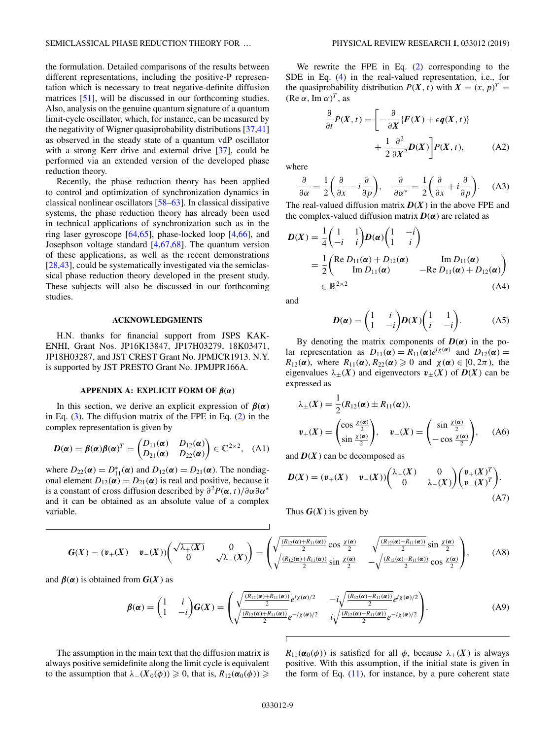<span id="page-8-0"></span>the formulation. Detailed comparisons of the results between different representations, including the positive-P representation which is necessary to treat negative-definite diffusion matrices [\[51\]](#page-13-0), will be discussed in our forthcoming studies. Also, analysis on the genuine quantum signature of a quantum limit-cycle oscillator, which, for instance, can be measured by the negativity of Wigner quasiprobability distributions [\[37,41\]](#page-13-0) as observed in the steady state of a quantum vdP oscillator with a strong Kerr drive and external drive [\[37\]](#page-13-0), could be performed via an extended version of the developed phase reduction theory.

Recently, the phase reduction theory has been applied to control and optimization of synchronization dynamics in classical nonlinear oscillators [\[58–63\]](#page-13-0). In classical dissipative systems, the phase reduction theory has already been used in technical applications of synchronization such as in the ring laser gyroscope [\[64,65\]](#page-13-0), phase-locked loop [\[4,](#page-12-0)[66\]](#page-14-0), and Josephson voltage standard [\[4,](#page-12-0)[67,68\]](#page-14-0). The quantum version of these applications, as well as the recent demonstrations [\[28](#page-12-0)[,43\]](#page-13-0), could be systematically investigated via the semiclassical phase reduction theory developed in the present study. These subjects will also be discussed in our forthcoming studies.

### **ACKNOWLEDGMENTS**

H.N. thanks for financial support from JSPS KAK-ENHI, Grant Nos. JP16K13847, JP17H03279, 18K03471, JP18H03287, and JST CREST Grant No. JPMJCR1913. N.Y. is supported by JST PRESTO Grant No. JPMJPR166A.

# **APPENDIX A: EXPLICIT FORM OF**  $\beta(\alpha)$

In this section, we derive an explicit expression of  $\beta(\alpha)$ in Eq. [\(3\)](#page-2-0). The diffusion matrix of the FPE in Eq. [\(2\)](#page-1-0) in the complex representation is given by

$$
\boldsymbol{D}(\boldsymbol{\alpha}) = \boldsymbol{\beta}(\boldsymbol{\alpha})\boldsymbol{\beta}(\boldsymbol{\alpha})^T = \begin{pmatrix} D_{11}(\boldsymbol{\alpha}) & D_{12}(\boldsymbol{\alpha}) \\ D_{21}(\boldsymbol{\alpha}) & D_{22}(\boldsymbol{\alpha}) \end{pmatrix} \in \mathbb{C}^{2 \times 2}, \quad (A1)
$$

where  $D_{22}(\alpha) = D_{11}^*(\alpha)$  and  $D_{12}(\alpha) = D_{21}(\alpha)$ . The nondiagonal element  $D_{12}(\alpha) = D_{21}(\alpha)$  is real and positive, because it is a constant of cross diffusion described by ∂<sup>2</sup>*P*(*α*,*t*)/∂α∂α<sup>∗</sup> and it can be obtained as an absolute value of a complex variable.

We rewrite the FPE in Eq. [\(2\)](#page-1-0) corresponding to the SDE in Eq. [\(4\)](#page-2-0) in the real-valued representation, i.e., for the quasiprobability distribution  $P(X, t)$  with  $X = (x, p)^T =$  $(Re \alpha, Im \alpha)^T$ , as

$$
\frac{\partial}{\partial t}P(X,t) = \left[ -\frac{\partial}{\partial X} \{ F(X) + \epsilon q(X,t) \} + \frac{1}{2} \frac{\partial^2}{\partial X^2} D(X) \right] P(X,t), \tag{A2}
$$

where

$$
\frac{\partial}{\partial \alpha} = \frac{1}{2} \left( \frac{\partial}{\partial x} - i \frac{\partial}{\partial p} \right), \quad \frac{\partial}{\partial \alpha^*} = \frac{1}{2} \left( \frac{\partial}{\partial x} + i \frac{\partial}{\partial p} \right). \quad (A3)
$$

The real-valued diffusion matrix  $D(X)$  in the above FPE and the complex-valued diffusion matrix  $D(\alpha)$  are related as

$$
D(X) = \frac{1}{4} \begin{pmatrix} 1 & 1 \\ -i & i \end{pmatrix} D(\alpha) \begin{pmatrix} 1 & -i \\ 1 & i \end{pmatrix}
$$
  
= 
$$
\frac{1}{2} \begin{pmatrix} \text{Re } D_{11}(\alpha) + D_{12}(\alpha) & \text{Im } D_{11}(\alpha) \\ \text{Im } D_{11}(\alpha) & -\text{Re } D_{11}(\alpha) + D_{12}(\alpha) \end{pmatrix}
$$
  

$$
\in \mathbb{R}^{2 \times 2}
$$
(A4)

and

$$
D(\alpha) = \begin{pmatrix} 1 & i \\ 1 & -i \end{pmatrix} D(X) \begin{pmatrix} 1 & 1 \\ i & -i \end{pmatrix}.
$$
 (A5)

By denoting the matrix components of  $D(\alpha)$  in the polar representation as  $D_{11}(\alpha) = R_{11}(\alpha)e^{i\chi(\alpha)}$  and  $D_{12}(\alpha) =$  $R_{12}(\alpha)$ , where  $R_{11}(\alpha)$ ,  $R_{22}(\alpha) \geq 0$  and  $\chi(\alpha) \in [0, 2\pi)$ , the eigenvalues  $\lambda_{+}(X)$  and eigenvectors  $v_{+}(X)$  of  $D(X)$  can be expressed as

$$
\lambda_{\pm}(X) = \frac{1}{2}(R_{12}(\alpha) \pm R_{11}(\alpha)),
$$
  

$$
\mathbf{v}_{+}(X) = \begin{pmatrix} \cos \frac{\chi(\alpha)}{2} \\ \sin \frac{\chi(\alpha)}{2} \end{pmatrix}, \quad \mathbf{v}_{-}(X) = \begin{pmatrix} \sin \frac{\chi(\alpha)}{2} \\ -\cos \frac{\chi(\alpha)}{2} \end{pmatrix}, \quad (A6)
$$

and  $D(X)$  can be decomposed as

$$
D(X) = (v_+(X) \quad v_-(X)) \begin{pmatrix} \lambda_+(X) & 0 \\ 0 & \lambda_-(X) \end{pmatrix} \begin{pmatrix} v_+(X)^T \\ v_-(X)^T \end{pmatrix}.
$$
\n(A7)

Thus  $G(X)$  is given by

$$
G(X) = (\mathbf{v}_{+}(X) \quad \mathbf{v}_{-}(X)) \begin{pmatrix} \sqrt{\lambda_{+}(X)} & 0 \\ 0 & \sqrt{\lambda_{-}(X)} \end{pmatrix} = \begin{pmatrix} \sqrt{\frac{(R_{12}(\alpha) + R_{11}(\alpha))}{2}} \cos \frac{\chi(\alpha)}{2} & \sqrt{\frac{(R_{12}(\alpha) - R_{11}(\alpha))}{2}} \sin \frac{\chi(\alpha)}{2} \\ \sqrt{\frac{(R_{12}(\alpha) + R_{11}(\alpha))}{2}} \sin \frac{\chi(\alpha)}{2} & -\sqrt{\frac{(R_{12}(\alpha) - R_{11}(\alpha))}{2}} \cos \frac{\chi(\alpha)}{2} \end{pmatrix},
$$
(A8)

and  $\beta(\alpha)$  is obtained from  $G(X)$  as

$$
\boldsymbol{\beta}(\boldsymbol{\alpha}) = \begin{pmatrix} 1 & i \\ 1 & -i \end{pmatrix} \boldsymbol{G}(X) = \begin{pmatrix} \sqrt{\frac{(R_{12}(\boldsymbol{\alpha}) + R_{11}(\boldsymbol{\alpha}))}{2}} e^{i\chi(\boldsymbol{\alpha})/2} & -i\sqrt{\frac{(R_{12}(\boldsymbol{\alpha}) - R_{11}(\boldsymbol{\alpha}))}{2}} e^{i\chi(\boldsymbol{\alpha})/2} \\ \sqrt{\frac{(R_{12}(\boldsymbol{\alpha}) + R_{11}(\boldsymbol{\alpha}))}{2}} e^{-i\chi(\boldsymbol{\alpha})/2} & i\sqrt{\frac{(R_{12}(\boldsymbol{\alpha}) - R_{11}(\boldsymbol{\alpha}))}{2}} e^{-i\chi(\boldsymbol{\alpha})/2} \end{pmatrix} . \tag{A9}
$$

The assumption in the main text that the diffusion matrix is always positive semidefinite along the limit cycle is equivalent to the assumption that  $\lambda_-(X_0(\phi)) \geq 0$ , that is,  $R_{12}(\alpha_0(\phi)) \geq$ 

 $R_{11}(\alpha_0(\phi))$  is satisfied for all  $\phi$ , because  $\lambda_+(X)$  is always positive. With this assumption, if the initial state is given in the form of Eq.  $(11)$ , for instance, by a pure coherent state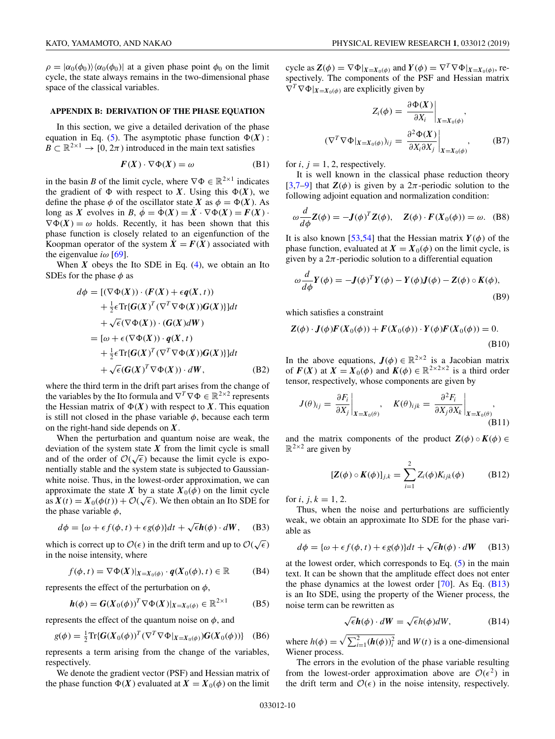<span id="page-9-0"></span> $\rho = |\alpha_0(\phi_0)\rangle \langle \alpha_0(\phi_0)|$  at a given phase point  $\phi_0$  on the limit cycle, the state always remains in the two-dimensional phase space of the classical variables.

## **APPENDIX B: DERIVATION OF THE PHASE EQUATION**

In this section, we give a detailed derivation of the phase equation in Eq. [\(5\)](#page-2-0). The asymptotic phase function  $\Phi(X)$ :  $B \subset \mathbb{R}^{2\times 1} \to [0, 2\pi)$  introduced in the main text satisfies

$$
F(X) \cdot \nabla \Phi(X) = \omega
$$
 (B1)

in the basin *B* of the limit cycle, where  $\nabla \Phi \in \mathbb{R}^{2 \times 1}$  indicates the gradient of  $\Phi$  with respect to *X*. Using this  $\Phi(X)$ , we define the phase  $\phi$  of the oscillator state *X* as  $\phi = \Phi(X)$ . As long as *X* evolves in *B*,  $\dot{\phi} = \dot{\Phi}(X) = \dot{X} \cdot \nabla \Phi(X) = F(X) \cdot$  $\nabla \Phi(X) = \omega$  holds. Recently, it has been shown that this phase function is closely related to an eigenfunction of the Koopman operator of the system  $\ddot{X} = F(X)$  associated with the eigenvalue  $i\omega$  [\[69\]](#page-14-0).

When  $X$  obeys the Ito SDE in Eq.  $(4)$ , we obtain an Ito SDEs for the phase  $\phi$  as

$$
d\phi = [(\nabla \Phi(X)) \cdot (F(X) + \epsilon q(X, t))
$$
  
+  $\frac{1}{2} \epsilon \text{Tr} \{G(X)^T (\nabla^T \nabla \Phi(X)) G(X) \} ] dt$   
+  $\sqrt{\epsilon} (\nabla \Phi(X)) \cdot (G(X) dW)$   
=  $[\omega + \epsilon (\nabla \Phi(X)) \cdot q(X, t)$   
+  $\frac{1}{2} \epsilon \text{Tr} \{G(X)^T (\nabla^T \nabla \Phi(X)) G(X) \} ] dt$   
+  $\sqrt{\epsilon} (G(X)^T \nabla \Phi(X)) \cdot dW,$  (B2)

where the third term in the drift part arises from the change of the variables by the Ito formula and  $\nabla^T \nabla \Phi \in \mathbb{R}^{2 \times 2}$  represents the Hessian matrix of  $\Phi(X)$  with respect to X. This equation is still not closed in the phase variable  $\phi$ , because each term on the right-hand side depends on *X*.

When the perturbation and quantum noise are weak, the deviation of the system state  $X$  from the limit cycle is small deviation of the system state  $\lambda$  from the limit cycle is small<br>and of the order of  $\mathcal{O}(\sqrt{\epsilon})$  because the limit cycle is exponentially stable and the system state is subjected to Gaussianwhite noise. Thus, in the lowest-order approximation, we can approximate the state *X* by a state  $X_0(\phi)$  on the limit cycle approximate the state  $\bf{X}$  by a state  $\bf{X}_0(\phi)$  on the firmt cycle<br>as  $\bf{X}'(t) = \bf{X}_0(\phi(t)) + \mathcal{O}(\sqrt{\epsilon})$ . We then obtain an Ito SDE for the phase variable  $\phi$ ,

$$
d\phi = {\omega + \epsilon f(\phi, t) + \epsilon g(\phi)}dt + \sqrt{\epsilon}\mathbf{h}(\phi) \cdot dW, \quad (B3)
$$

which is correct up to  $\mathcal{O}(\epsilon)$  in the drift term and up to  $\mathcal{O}(\sqrt{\epsilon})$ in the noise intensity, where

$$
f(\phi, t) = \nabla \Phi(X)|_{X=X_0(\phi)} \cdot q(X_0(\phi), t) \in \mathbb{R}
$$
 (B4)

represents the effect of the perturbation on  $\phi$ ,

$$
\boldsymbol{h}(\phi) = \boldsymbol{G}(X_0(\phi))^T \nabla \Phi(X)|_{X=X_0(\phi)} \in \mathbb{R}^{2 \times 1}
$$
 (B5)

represents the effect of the quantum noise on  $\phi$ , and

$$
g(\phi) = \frac{1}{2} \text{Tr} \{ G(X_0(\phi))^T (\nabla^T \nabla \Phi|_{X=X_0(\phi)}) G(X_0(\phi)) \} \quad (B6)
$$

represents a term arising from the change of the variables, respectively.

We denote the gradient vector (PSF) and Hessian matrix of the phase function  $\Phi(X)$  evaluated at  $X = X_0(\phi)$  on the limit

cycle as  $\mathbf{Z}(\phi) = \nabla \Phi|_{X=X_0(\phi)}$  and  $\mathbf{Y}(\phi) = \nabla^T \nabla \Phi|_{X=X_0(\phi)}$ , respectively. The components of the PSF and Hessian matrix  $\nabla^T \nabla \Phi|_{X=X_0(\phi)}$  are explicitly given by

$$
Z_i(\phi) = \frac{\partial \Phi(X)}{\partial X_i}\Big|_{X=X_0(\phi)},
$$
  

$$
(\nabla^T \nabla \Phi|_{X=X_0(\phi)})_{ij} = \frac{\partial^2 \Phi(X)}{\partial X_i \partial X_j}\Big|_{X=X_0(\phi)},
$$
 (B7)

for  $i, j = 1, 2$ , respectively.

It is well known in the classical phase reduction theory [\[3,7–9\]](#page-12-0) that  $\mathbf{Z}(\phi)$  is given by a  $2\pi$ -periodic solution to the following adjoint equation and normalization condition:

$$
\omega \frac{d}{d\phi} \mathbf{Z}(\phi) = -\mathbf{J}(\phi)^T \mathbf{Z}(\phi), \quad \mathbf{Z}(\phi) \cdot \mathbf{F}(\mathbf{X}_0(\phi)) = \omega. \quad (B8)
$$

It is also known [\[53,54\]](#page-13-0) that the Hessian matrix  $Y(\phi)$  of the phase function, evaluated at  $X = X_0(\phi)$  on the limit cycle, is given by a  $2\pi$ -periodic solution to a differential equation

$$
\omega \frac{d}{d\phi} Y(\phi) = -J(\phi)^T Y(\phi) - Y(\phi)J(\phi) - Z(\phi) \circ K(\phi),
$$
\n(B9)

which satisfies a constraint

$$
\mathbf{Z}(\phi) \cdot \mathbf{J}(\phi)\mathbf{F}(X_0(\phi)) + \mathbf{F}(X_0(\phi)) \cdot \mathbf{Y}(\phi)\mathbf{F}(X_0(\phi)) = 0.
$$
\n(B10)

In the above equations,  $J(\phi) \in \mathbb{R}^{2 \times 2}$  is a Jacobian matrix of  $F(X)$  at  $X = X_0(\phi)$  and  $K(\phi) \in \mathbb{R}^{2 \times 2 \times 2}$  is a third order tensor, respectively, whose components are given by

$$
J(\theta)_{ij} = \frac{\partial F_i}{\partial X_j}\bigg|_{X=X_0(\theta)}, \quad K(\theta)_{ijk} = \frac{\partial^2 F_i}{\partial X_j \partial X_k}\bigg|_{X=X_0(\theta)},
$$
(B11)

and the matrix components of the product  $\mathbf{Z}(\phi) \circ \mathbf{K}(\phi) \in$  $\mathbb{R}^{2\times 2}$  are given by

$$
[\mathbf{Z}(\phi) \circ \mathbf{K}(\phi)]_{j,k} = \sum_{i=1}^{2} Z_i(\phi) K_{ijk}(\phi)
$$
 (B12)

for *i*,  $j, k = 1, 2$ .

Thus, when the noise and perturbations are sufficiently weak, we obtain an approximate Ito SDE for the phase variable as

$$
d\phi = {\omega + \epsilon f(\phi, t) + \epsilon g(\phi)}dt + \sqrt{\epsilon}\mathbf{h}(\phi) \cdot dW
$$
 (B13)

at the lowest order, which corresponds to Eq.  $(5)$  in the main text. It can be shown that the amplitude effect does not enter the phase dynamics at the lowest order  $[70]$ . As Eq.  $(B13)$ is an Ito SDE, using the property of the Wiener process, the noise term can be rewritten as

$$
\sqrt{\epsilon}h(\phi) \cdot dW = \sqrt{\epsilon}h(\phi)dW, \tag{B14}
$$

where  $h(\phi) = \sqrt{\sum_{i=1}^{2} (h(\phi))_i^2}$  and  $W(t)$  is a one-dimensional Wiener process.

The errors in the evolution of the phase variable resulting from the lowest-order approximation above are  $\mathcal{O}(\epsilon^2)$  in the drift term and  $\mathcal{O}(\epsilon)$  in the noise intensity, respectively.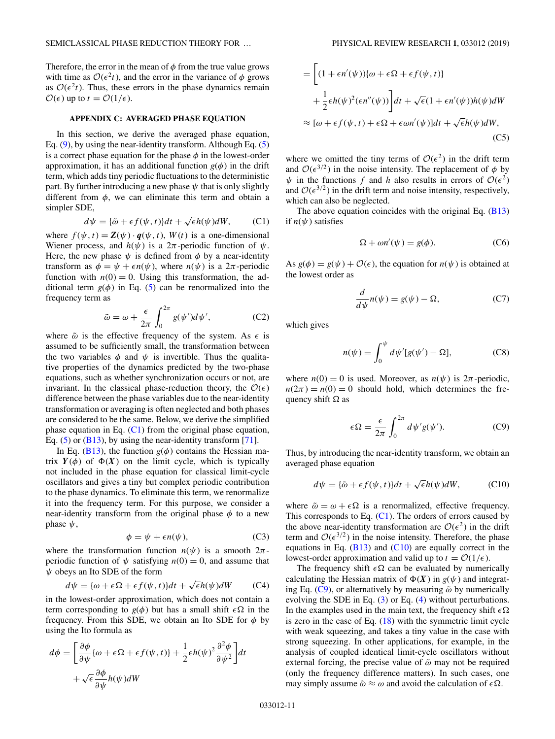<span id="page-10-0"></span>Therefore, the error in the mean of  $\phi$  from the true value grows with time as  $\mathcal{O}(\epsilon^2 t)$ , and the error in the variance of  $\phi$  grows as  $\mathcal{O}(\epsilon^2 t)$ . Thus, these errors in the phase dynamics remain  $\mathcal{O}(\epsilon)$  up to  $t = \mathcal{O}(1/\epsilon)$ .

## **APPENDIX C: AVERAGED PHASE EQUATION**

In this section, we derive the averaged phase equation, Eq. [\(9\)](#page-3-0), by using the near-identity transform. Although Eq. [\(5\)](#page-2-0) is a correct phase equation for the phase  $\phi$  in the lowest-order approximation, it has an additional function  $g(\phi)$  in the drift term, which adds tiny periodic fluctuations to the deterministic part. By further introducing a new phase  $\psi$  that is only slightly different from  $\phi$ , we can eliminate this term and obtain a simpler SDE,

$$
d\psi = {\tilde{\omega} + \epsilon f(\psi, t)}dt + \sqrt{\epsilon}h(\psi)dW, \qquad (C1)
$$

where  $f(\psi, t) = \mathbf{Z}(\psi) \cdot \mathbf{q}(\psi, t)$ ,  $W(t)$  is a one-dimensional Wiener process, and  $h(\psi)$  is a  $2\pi$ -periodic function of  $\psi$ . Here, the new phase  $\psi$  is defined from  $\phi$  by a near-identity transform as  $\phi = \psi + \epsilon n(\psi)$ , where  $n(\psi)$  is a  $2\pi$ -periodic function with  $n(0) = 0$ . Using this transformation, the additional term  $g(\phi)$  in Eq. [\(5\)](#page-2-0) can be renormalized into the frequency term as

$$
\tilde{\omega} = \omega + \frac{\epsilon}{2\pi} \int_0^{2\pi} g(\psi') d\psi', \qquad (C2)
$$

where  $\tilde{\omega}$  is the effective frequency of the system. As  $\epsilon$  is assumed to be sufficiently small, the transformation between the two variables  $\phi$  and  $\psi$  is invertible. Thus the qualitative properties of the dynamics predicted by the two-phase equations, such as whether synchronization occurs or not, are invariant. In the classical phase-reduction theory, the  $\mathcal{O}(\epsilon)$ difference between the phase variables due to the near-identity transformation or averaging is often neglected and both phases are considered to be the same. Below, we derive the simplified phase equation in Eq.  $(C1)$  from the original phase equation, Eq.  $(5)$  or  $(B13)$ , by using the near-identity transform [\[71\]](#page-14-0).

In Eq. [\(B13\)](#page-9-0), the function  $g(\phi)$  contains the Hessian matrix  $Y(\phi)$  of  $\Phi(X)$  on the limit cycle, which is typically not included in the phase equation for classical limit-cycle oscillators and gives a tiny but complex periodic contribution to the phase dynamics. To eliminate this term, we renormalize it into the frequency term. For this purpose, we consider a near-identity transform from the original phase  $\phi$  to a new phase  $\psi$ ,

$$
\phi = \psi + \epsilon n(\psi),\tag{C3}
$$

where the transformation function  $n(\psi)$  is a smooth  $2\pi$ periodic function of  $\psi$  satisfying  $n(0) = 0$ , and assume that  $\psi$  obeys an Ito SDE of the form

$$
d\psi = {\omega + \epsilon \Omega + \epsilon f(\psi, t)}dt + \sqrt{\epsilon}h(\psi)dW
$$
 (C4)

in the lowest-order approximation, which does not contain a term corresponding to  $g(\phi)$  but has a small shift  $\epsilon \Omega$  in the frequency. From this SDE, we obtain an Ito SDE for  $\phi$  by using the Ito formula as

$$
d\phi = \left[\frac{\partial\phi}{\partial\psi}\{\omega + \epsilon\Omega + \epsilon f(\psi, t)\} + \frac{1}{2}\epsilon h(\psi)^2 \frac{\partial^2\phi}{\partial\psi^2}\right]dt
$$

$$
+ \sqrt{\epsilon} \frac{\partial\phi}{\partial\psi}h(\psi)dW
$$

$$
= \left[ (1 + \epsilon n'(\psi))\{\omega + \epsilon \Omega + \epsilon f(\psi, t)\}\n+ \frac{1}{2} \epsilon h(\psi)^2 (\epsilon n''(\psi)) \right] dt + \sqrt{\epsilon} (1 + \epsilon n'(\psi)) h(\psi) dW
$$
\n
$$
\approx [\omega + \epsilon f(\psi, t) + \epsilon \Omega + \epsilon \omega n'(\psi)] dt + \sqrt{\epsilon} h(\psi) dW,
$$
\n(C5)

where we omitted the tiny terms of  $O(\epsilon^2)$  in the drift term and  $\mathcal{O}(\epsilon^{3/2})$  in the noise intensity. The replacement of  $\phi$  by  $\psi$  in the functions f and h also results in errors of  $\mathcal{O}(\epsilon^2)$ and  $\mathcal{O}(\epsilon^{3/2})$  in the drift term and noise intensity, respectively, which can also be neglected.

The above equation coincides with the original Eq. [\(B13\)](#page-9-0) if  $n(\psi)$  satisfies

$$
\Omega + \omega n'(\psi) = g(\phi). \tag{C6}
$$

As  $g(\phi) = g(\psi) + \mathcal{O}(\epsilon)$ , the equation for  $n(\psi)$  is obtained at the lowest order as

$$
\frac{d}{d\psi}n(\psi) = g(\psi) - \Omega,
$$
\n(C7)

which gives

$$
n(\psi) = \int_0^{\psi} d\psi'[g(\psi') - \Omega], \qquad (C8)
$$

where  $n(0) = 0$  is used. Moreover, as  $n(\psi)$  is  $2\pi$ -periodic,  $n(2\pi) = n(0) = 0$  should hold, which determines the frequency shift  $\Omega$  as

$$
\epsilon \Omega = \frac{\epsilon}{2\pi} \int_0^{2\pi} d\psi' g(\psi'). \tag{C9}
$$

Thus, by introducing the near-identity transform, we obtain an averaged phase equation

$$
d\psi = {\tilde{\omega} + \epsilon f(\psi, t)}dt + \sqrt{\epsilon}h(\psi)dW,
$$
 (C10)

where  $\tilde{\omega} = \omega + \epsilon \Omega$  is a renormalized, effective frequency. This corresponds to Eq.  $(C1)$ . The orders of errors caused by the above near-identity transformation are  $\mathcal{O}(\epsilon^2)$  in the drift term and  $\mathcal{O}(\epsilon^{3/2})$  in the noise intensity. Therefore, the phase equations in Eq.  $(B13)$  and  $(C10)$  are equally correct in the lowest-order approximation and valid up to  $t = \mathcal{O}(1/\epsilon)$ .

The frequency shift  $\epsilon \Omega$  can be evaluated by numerically calculating the Hessian matrix of  $\Phi(X)$  in  $g(\psi)$  and integrating Eq. (C9), or alternatively by measuring  $\tilde{\omega}$  by numerically evolving the SDE in Eq. [\(3\)](#page-2-0) or Eq. [\(4\)](#page-2-0) without perturbations. In the examples used in the main text, the frequency shift  $\epsilon \Omega$ is zero in the case of Eq. [\(18\)](#page-4-0) with the symmetric limit cycle with weak squeezing, and takes a tiny value in the case with strong squeezing. In other applications, for example, in the analysis of coupled identical limit-cycle oscillators without external forcing, the precise value of  $\tilde{\omega}$  may not be required (only the frequency difference matters). In such cases, one may simply assume  $\tilde{\omega} \approx \omega$  and avoid the calculation of  $\epsilon \Omega$ .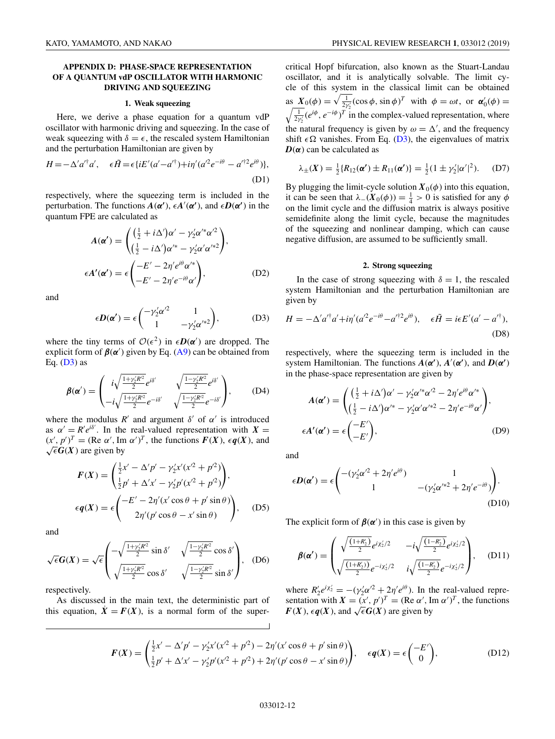# <span id="page-11-0"></span>**APPENDIX D: PHASE-SPACE REPRESENTATION OF A QUANTUM vdP OSCILLATOR WITH HARMONIC DRIVING AND SQUEEZING**

#### **1. Weak squeezing**

Here, we derive a phase equation for a quantum vdP oscillator with harmonic driving and squeezing. In the case of weak squeezing with  $\delta = \epsilon$ , the rescaled system Hamiltonian and the perturbation Hamiltonian are given by

$$
H = -\Delta' a'^\dagger a', \quad \epsilon \tilde{H} = \epsilon \{ iE'(a'-a'^\dagger) + i\eta'(a'^2 e^{-i\theta} - a'^{\dagger 2} e^{i\theta}) \},
$$
\n(D1)

respectively, where the squeezing term is included in the perturbation. The functions  $A(\alpha')$ ,  $\epsilon A'(\alpha')$ , and  $\epsilon D(\alpha')$  in the quantum FPE are calculated as

$$
A(\alpha') = \begin{pmatrix} \left(\frac{1}{2} + i\Delta'\right)\alpha' - \gamma_2'\alpha'^*\alpha'^2\\ \left(\frac{1}{2} - i\Delta'\right)\alpha'^* - \gamma_2'\alpha'\alpha'^*\alpha^2 \end{pmatrix},
$$

$$
\epsilon A'(\alpha') = \epsilon \begin{pmatrix} -E' - 2\eta' e^{i\theta}\alpha'^*\\ -E' - 2\eta' e^{-i\theta}\alpha' \end{pmatrix},
$$
(D2)

and

$$
\epsilon \mathbf{D}(\alpha') = \epsilon \begin{pmatrix} -\gamma'_2 \alpha'^2 & 1\\ 1 & -\gamma'_2 \alpha'^{*2} \end{pmatrix},
$$
 (D3)

where the tiny terms of  $\mathcal{O}(\epsilon^2)$  in  $\epsilon \mathbf{D}(\alpha')$  are dropped. The explicit form of  $\beta(\alpha')$  given by Eq. [\(A9\)](#page-8-0) can be obtained from Eq.  $(D3)$  as

$$
\beta(\alpha') = \begin{pmatrix} i\sqrt{\frac{1+\gamma'_2 R'^2}{2}} e^{i\delta'} & \sqrt{\frac{1-\gamma'_2 R'^2}{2}} e^{i\delta'} \\ -i\sqrt{\frac{1+\gamma'_2 R'^2}{2}} e^{-i\delta'} & \sqrt{\frac{1-\gamma'_2 R'^2}{2}} e^{-i\delta'} \end{pmatrix},
$$
 (D4)

where the modulus  $R'$  and argument  $\delta'$  of  $\alpha'$  is introduced as  $\alpha' = R'e^{i\delta'}$ . In the real-valued representation with  $X =$  $(x', p')^T = (\text{Re }\alpha', \text{Im }\alpha')^T$ , the functions  $F(X)$ ,  $\epsilon q(X)$ , and  $\sqrt{\epsilon}$ **G**(**X**) are given by

$$
F(X) = \begin{pmatrix} \frac{1}{2}x' - \Delta' p' - \gamma_2' x' (x'^2 + p'^2) \\ \frac{1}{2}p' + \Delta' x' - \gamma_2' p' (x'^2 + p'^2) \end{pmatrix},
$$
  
\n
$$
\epsilon q(X) = \epsilon \begin{pmatrix} -E' - 2\eta' (x' \cos \theta + p' \sin \theta) \\ 2\eta' (p' \cos \theta - x' \sin \theta) \end{pmatrix},
$$
 (D5)

and

$$
\sqrt{\epsilon} \mathbf{G}(X) = \sqrt{\epsilon} \begin{pmatrix} -\sqrt{\frac{1+\gamma_2'R'^2}{2}} \sin \delta' & \sqrt{\frac{1-\gamma_2'R'^2}{2}} \cos \delta' \\ \sqrt{\frac{1+\gamma_2'R'^2}{2}} \cos \delta' & \sqrt{\frac{1-\gamma_2'R'^2}{2}} \sin \delta' \end{pmatrix}, \quad (D6)
$$

respectively.

As discussed in the main text, the deterministic part of this equation,  $\dot{X} = F(X)$ , is a normal form of the supercritical Hopf bifurcation, also known as the Stuart-Landau oscillator, and it is analytically solvable. The limit cycle of this system in the classical limit can be obtained as  $X_0(\phi) = \sqrt{\frac{1}{2\gamma_2'}}(\cos \phi, \sin \phi)^T$  with  $\phi = \omega t$ , or  $\alpha'_0(\phi) =$ <br> $\sqrt{\frac{1}{2\gamma_2'}}(e^{i\phi}, e^{-i\phi})^T$  in the complex-valued representation, where  $\frac{1}{2\gamma'_2} (e^{i\phi}, e^{-i\phi})^T$  in the complex-valued representation, where the natural frequency is given by  $\omega = \Delta'$ , and the frequency shift  $\epsilon \Omega$  vanishes. From Eq. (D3), the eigenvalues of matrix  $D(\alpha)$  can be calculated as

$$
\lambda_{\pm}(X) = \frac{1}{2} \{ R_{12}(\alpha') \pm R_{11}(\alpha') \} = \frac{1}{2} (1 \pm \gamma_2' |\alpha'|^2). \quad (D7)
$$

By plugging the limit-cycle solution  $X_0(\phi)$  into this equation, it can be seen that  $\lambda_-(X_0(\phi)) = \frac{1}{4} > 0$  is satisfied for any  $\phi$ on the limit cycle and the diffusion matrix is always positive semidefinite along the limit cycle, because the magnitudes of the squeezing and nonlinear damping, which can cause negative diffusion, are assumed to be sufficiently small.

### **2. Strong squeezing**

In the case of strong squeezing with  $\delta = 1$ , the rescaled system Hamiltonian and the perturbation Hamiltonian are given by

$$
H = -\Delta' a'^\dagger a' + i\eta' (a'^2 e^{-i\theta} - a'^{\dagger 2} e^{i\theta}), \quad \epsilon \tilde{H} = i\epsilon E'(a' - a'^\dagger),
$$
\n(D8)

respectively, where the squeezing term is included in the system Hamiltonian. The functions  $A(\alpha')$ ,  $A'(\alpha')$ , and  $D(\alpha')$ in the phase-space representation are given by

$$
A(\alpha') = \begin{pmatrix} \left(\frac{1}{2} + i\Delta'\right)\alpha' - \gamma_2'\alpha'^*\alpha'^2 - 2\eta'e^{i\theta}\alpha'^*\\ \left(\frac{1}{2} - i\Delta'\right)\alpha'^* - \gamma_2'\alpha'\alpha'^*^2 - 2\eta'e^{-i\theta}\alpha' \end{pmatrix},
$$
  
\n
$$
\epsilon A'(\alpha') = \epsilon \begin{pmatrix} -E'\\ -E' \end{pmatrix},
$$
 (D9)

and

$$
\epsilon \mathbf{D}(\alpha') = \epsilon \begin{pmatrix} -( \gamma_2' \alpha'^2 + 2 \eta' e^{i\theta}) & 1 \\ 1 & -( \gamma_2' \alpha'^{*2} + 2 \eta' e^{-i\theta}) \end{pmatrix} . \tag{D10}
$$

The explicit form of  $\beta(\alpha')$  in this case is given by

$$
\beta(\alpha') = \begin{pmatrix} \sqrt{\frac{(1+R_2')}{2}} e^{i\chi_2'/2} & -i\sqrt{\frac{(1-R_2')}{2}} e^{i\chi_2'/2} \\ \sqrt{\frac{(1+R_2')}{2}} e^{-i\chi_2'/2} & i\sqrt{\frac{(1-R_2')}{2}} e^{-i\chi_2'/2} \end{pmatrix}, \quad (D11)
$$

where  $R'_2e^{i\chi'_2} = -(\gamma'_2\alpha'^2 + 2\eta'e^{i\theta})$ . In the real-valued representation with  $X = (x', p')^T = (\text{Re }\alpha', \text{Im }\alpha')^T$ , the functions *F*(*X*), *eq*(*X*), and  $\sqrt{\epsilon}$ *G*(*X*) are given by

$$
F(X) = \begin{pmatrix} \frac{1}{2}x' - \Delta' p' - \gamma_2' x' (x^2 + p^2) - 2\eta' (x' \cos \theta + p' \sin \theta) \\ \frac{1}{2}p' + \Delta' x' - \gamma_2' p' (x^2 + p^2) + 2\eta' (p' \cos \theta - x' \sin \theta) \end{pmatrix}, \quad \epsilon q(X) = \epsilon \begin{pmatrix} -E' \\ 0 \end{pmatrix},
$$
 (D12)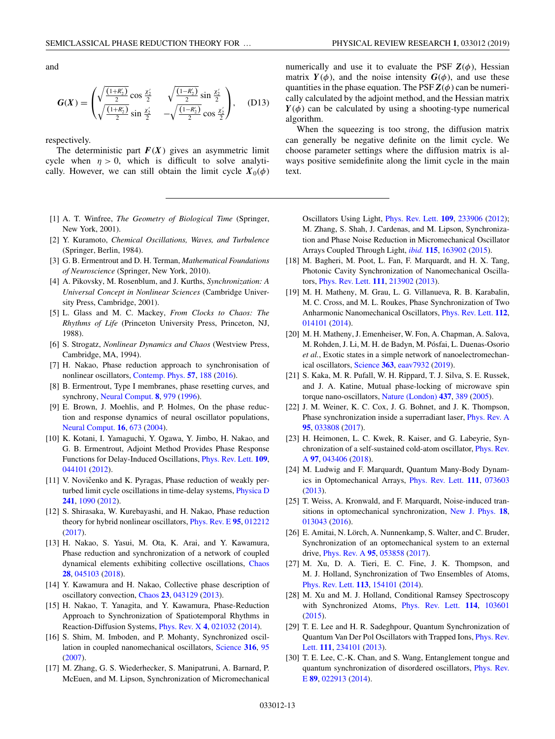<span id="page-12-0"></span>and

$$
G(X) = \begin{pmatrix} \sqrt{\frac{(1+R'_2)}{2}} \cos \frac{x'_2}{2} & \sqrt{\frac{(1-R'_2)}{2}} \sin \frac{x'_2}{2} \\ \sqrt{\frac{(1+R'_2)}{2}} \sin \frac{x'_2}{2} & -\sqrt{\frac{(1-R'_2)}{2}} \cos \frac{x'_2}{2} \end{pmatrix}, \quad (D13)
$$

respectively.

The deterministic part  $F(X)$  gives an asymmetric limit cycle when  $\eta > 0$ , which is difficult to solve analytically. However, we can still obtain the limit cycle  $X_0(\phi)$ 

- [1] A. T. Winfree, *The Geometry of Biological Time* (Springer, New York, 2001).
- [2] Y. Kuramoto, *Chemical Oscillations, Waves, and Turbulence* (Springer, Berlin, 1984).
- [3] G. B. Ermentrout and D. H. Terman, *Mathematical Foundations of Neuroscience* (Springer, New York, 2010).
- [4] A. Pikovsky, M. Rosenblum, and J. Kurths, *Synchronization: A Universal Concept in Nonlinear Sciences* (Cambridge University Press, Cambridge, 2001).
- [5] L. Glass and M. C. Mackey, *From Clocks to Chaos: The Rhythms of Life* (Princeton University Press, Princeton, NJ, 1988).
- [6] S. Strogatz, *Nonlinear Dynamics and Chaos* (Westview Press, Cambridge, MA, 1994).
- [7] H. Nakao, Phase reduction approach to synchronisation of nonlinear oscillators, [Contemp. Phys.](https://doi.org/10.1080/00107514.2015.1094987) **[57](https://doi.org/10.1080/00107514.2015.1094987)**, [188](https://doi.org/10.1080/00107514.2015.1094987) [\(2016\)](https://doi.org/10.1080/00107514.2015.1094987).
- [8] B. Ermentrout, Type I membranes, phase resetting curves, and synchrony, [Neural Comput.](https://doi.org/10.1162/neco.1996.8.5.979) **[8](https://doi.org/10.1162/neco.1996.8.5.979)**, [979](https://doi.org/10.1162/neco.1996.8.5.979) [\(1996\)](https://doi.org/10.1162/neco.1996.8.5.979).
- [9] E. Brown, J. Moehlis, and P. Holmes, On the phase reduction and response dynamics of neural oscillator populations, [Neural Comput.](https://doi.org/10.1162/089976604322860668) **[16](https://doi.org/10.1162/089976604322860668)**, [673](https://doi.org/10.1162/089976604322860668) [\(2004\)](https://doi.org/10.1162/089976604322860668).
- [10] K. Kotani, I. Yamaguchi, Y. Ogawa, Y. Jimbo, H. Nakao, and G. B. Ermentrout, Adjoint Method Provides Phase Response Functions for Delay-Induced Oscillations, [Phys. Rev. Lett.](https://doi.org/10.1103/PhysRevLett.109.044101) **[109](https://doi.org/10.1103/PhysRevLett.109.044101)**, [044101](https://doi.org/10.1103/PhysRevLett.109.044101) [\(2012\)](https://doi.org/10.1103/PhysRevLett.109.044101).
- [11] V. Novičenko and K. Pyragas, Phase reduction of weakly perturbed limit cycle oscillations in time-delay systems, [Physica D](https://doi.org/10.1016/j.physd.2012.03.001) **[241](https://doi.org/10.1016/j.physd.2012.03.001)**, [1090](https://doi.org/10.1016/j.physd.2012.03.001) [\(2012\)](https://doi.org/10.1016/j.physd.2012.03.001).
- [12] S. Shirasaka, W. Kurebayashi, and H. Nakao, Phase reduction theory for hybrid nonlinear oscillators, [Phys. Rev. E](https://doi.org/10.1103/PhysRevE.95.012212) **[95](https://doi.org/10.1103/PhysRevE.95.012212)**, [012212](https://doi.org/10.1103/PhysRevE.95.012212) [\(2017\)](https://doi.org/10.1103/PhysRevE.95.012212).
- [13] H. Nakao, S. Yasui, M. Ota, K. Arai, and Y. Kawamura, Phase reduction and synchronization of a network of coupled dynamical elements exhibiting collective oscillations, [Chaos](https://doi.org/10.1063/1.5009669) **[28](https://doi.org/10.1063/1.5009669)**, [045103](https://doi.org/10.1063/1.5009669) [\(2018\)](https://doi.org/10.1063/1.5009669).
- [14] Y. Kawamura and H. Nakao, Collective phase description of oscillatory convection, [Chaos](https://doi.org/10.1063/1.4837775) **[23](https://doi.org/10.1063/1.4837775)**, [043129](https://doi.org/10.1063/1.4837775) [\(2013\)](https://doi.org/10.1063/1.4837775).
- [15] H. Nakao, T. Yanagita, and Y. Kawamura, Phase-Reduction Approach to Synchronization of Spatiotemporal Rhythms in Reaction-Diffusion Systems, [Phys. Rev. X](https://doi.org/10.1103/PhysRevX.4.021032) **[4](https://doi.org/10.1103/PhysRevX.4.021032)**, [021032](https://doi.org/10.1103/PhysRevX.4.021032) [\(2014\)](https://doi.org/10.1103/PhysRevX.4.021032).
- [16] S. Shim, M. Imboden, and P. Mohanty, Synchronized oscillation in coupled nanomechanical oscillators, [Science](https://doi.org/10.1126/science.1137307) **[316](https://doi.org/10.1126/science.1137307)**, [95](https://doi.org/10.1126/science.1137307) [\(2007\)](https://doi.org/10.1126/science.1137307).
- [17] M. Zhang, G. S. Wiederhecker, S. Manipatruni, A. Barnard, P. McEuen, and M. Lipson, Synchronization of Micromechanical

numerically and use it to evaluate the PSF  $\mathbf{Z}(\phi)$ , Hessian matrix  $Y(\phi)$ , and the noise intensity  $G(\phi)$ , and use these quantities in the phase equation. The PSF  $\mathbf{Z}(\phi)$  can be numerically calculated by the adjoint method, and the Hessian matrix  $Y(\phi)$  can be calculated by using a shooting-type numerical algorithm.

When the squeezing is too strong, the diffusion matrix can generally be negative definite on the limit cycle. We choose parameter settings where the diffusion matrix is always positive semidefinite along the limit cycle in the main text.

Oscillators Using Light, [Phys. Rev. Lett.](https://doi.org/10.1103/PhysRevLett.109.233906) **[109](https://doi.org/10.1103/PhysRevLett.109.233906)**, [233906](https://doi.org/10.1103/PhysRevLett.109.233906) [\(2012\)](https://doi.org/10.1103/PhysRevLett.109.233906); M. Zhang, S. Shah, J. Cardenas, and M. Lipson, Synchronization and Phase Noise Reduction in Micromechanical Oscillator Arrays Coupled Through Light, *[ibid.](https://doi.org/10.1103/PhysRevLett.115.163902)* **[115](https://doi.org/10.1103/PhysRevLett.115.163902)**, [163902](https://doi.org/10.1103/PhysRevLett.115.163902) [\(2015\)](https://doi.org/10.1103/PhysRevLett.115.163902).

- [18] M. Bagheri, M. Poot, L. Fan, F. Marquardt, and H. X. Tang, Photonic Cavity Synchronization of Nanomechanical Oscillators, [Phys. Rev. Lett.](https://doi.org/10.1103/PhysRevLett.111.213902) **[111](https://doi.org/10.1103/PhysRevLett.111.213902)**, [213902](https://doi.org/10.1103/PhysRevLett.111.213902) [\(2013\)](https://doi.org/10.1103/PhysRevLett.111.213902).
- [19] M. H. Matheny, M. Grau, L. G. Villanueva, R. B. Karabalin, M. C. Cross, and M. L. Roukes, Phase Synchronization of Two Anharmonic Nanomechanical Oscillators, [Phys. Rev. Lett.](https://doi.org/10.1103/PhysRevLett.112.014101) **[112](https://doi.org/10.1103/PhysRevLett.112.014101)**, [014101](https://doi.org/10.1103/PhysRevLett.112.014101) [\(2014\)](https://doi.org/10.1103/PhysRevLett.112.014101).
- [20] M. H. Matheny, J. Emenheiser, W. Fon, A. Chapman, A. Salova, M. Rohden, J. Li, M. H. de Badyn, M. Pósfai, L. Duenas-Osorio *et al.*, Exotic states in a simple network of nanoelectromechanical oscillators, [Science](https://doi.org/10.1126/science.aav7932) **[363](https://doi.org/10.1126/science.aav7932)**, [eaav7932](https://doi.org/10.1126/science.aav7932) [\(2019\)](https://doi.org/10.1126/science.aav7932).
- [21] S. Kaka, M. R. Pufall, W. H. Rippard, T. J. Silva, S. E. Russek, and J. A. Katine, Mutual phase-locking of microwave spin torque nano-oscillators, [Nature \(London\)](https://doi.org/10.1038/nature04035) **[437](https://doi.org/10.1038/nature04035)**, [389](https://doi.org/10.1038/nature04035) [\(2005\)](https://doi.org/10.1038/nature04035).
- [22] J. M. Weiner, K. C. Cox, J. G. Bohnet, and J. K. Thompson, Phase synchronization inside a superradiant laser, [Phys. Rev. A](https://doi.org/10.1103/PhysRevA.95.033808) **[95](https://doi.org/10.1103/PhysRevA.95.033808)**, [033808](https://doi.org/10.1103/PhysRevA.95.033808) [\(2017\)](https://doi.org/10.1103/PhysRevA.95.033808).
- [23] H. Heimonen, L. C. Kwek, R. Kaiser, and G. Labeyrie, Syn[chronization of a self-sustained cold-atom oscillator,](https://doi.org/10.1103/PhysRevA.97.043406) Phys. Rev. A **[97](https://doi.org/10.1103/PhysRevA.97.043406)**, [043406](https://doi.org/10.1103/PhysRevA.97.043406) [\(2018\)](https://doi.org/10.1103/PhysRevA.97.043406).
- [24] M. Ludwig and F. Marquardt, Quantum Many-Body Dynamics in Optomechanical Arrays, [Phys. Rev. Lett.](https://doi.org/10.1103/PhysRevLett.111.073603) **[111](https://doi.org/10.1103/PhysRevLett.111.073603)**, [073603](https://doi.org/10.1103/PhysRevLett.111.073603) [\(2013\)](https://doi.org/10.1103/PhysRevLett.111.073603).
- [25] T. Weiss, A. Kronwald, and F. Marquardt, Noise-induced transitions in optomechanical synchronization, [New J. Phys.](https://doi.org/10.1088/1367-2630/18/1/013043) **[18](https://doi.org/10.1088/1367-2630/18/1/013043)**, [013043](https://doi.org/10.1088/1367-2630/18/1/013043) [\(2016\)](https://doi.org/10.1088/1367-2630/18/1/013043).
- [26] E. Amitai, N. Lörch, A. Nunnenkamp, S. Walter, and C. Bruder, Synchronization of an optomechanical system to an external drive, [Phys. Rev. A](https://doi.org/10.1103/PhysRevA.95.053858) **[95](https://doi.org/10.1103/PhysRevA.95.053858)**, [053858](https://doi.org/10.1103/PhysRevA.95.053858) [\(2017\)](https://doi.org/10.1103/PhysRevA.95.053858).
- [27] M. Xu, D. A. Tieri, E. C. Fine, J. K. Thompson, and M. J. Holland, Synchronization of Two Ensembles of Atoms, [Phys. Rev. Lett.](https://doi.org/10.1103/PhysRevLett.113.154101) **[113](https://doi.org/10.1103/PhysRevLett.113.154101)**, [154101](https://doi.org/10.1103/PhysRevLett.113.154101) [\(2014\)](https://doi.org/10.1103/PhysRevLett.113.154101).
- [28] M. Xu and M. J. Holland, Conditional Ramsey Spectroscopy with Synchronized Atoms, [Phys. Rev. Lett.](https://doi.org/10.1103/PhysRevLett.114.103601) **[114](https://doi.org/10.1103/PhysRevLett.114.103601)**, [103601](https://doi.org/10.1103/PhysRevLett.114.103601) [\(2015\)](https://doi.org/10.1103/PhysRevLett.114.103601).
- [29] T. E. Lee and H. R. Sadeghpour, Quantum Synchronization of [Quantum Van Der Pol Oscillators with Trapped Ions,](https://doi.org/10.1103/PhysRevLett.111.234101) Phys. Rev. Lett. **[111](https://doi.org/10.1103/PhysRevLett.111.234101)**, [234101](https://doi.org/10.1103/PhysRevLett.111.234101) [\(2013\)](https://doi.org/10.1103/PhysRevLett.111.234101).
- [30] T. E. Lee, C.-K. Chan, and S. Wang, Entanglement tongue and [quantum synchronization of disordered oscillators,](https://doi.org/10.1103/PhysRevE.89.022913) Phys. Rev. E **[89](https://doi.org/10.1103/PhysRevE.89.022913)**, [022913](https://doi.org/10.1103/PhysRevE.89.022913) [\(2014\)](https://doi.org/10.1103/PhysRevE.89.022913).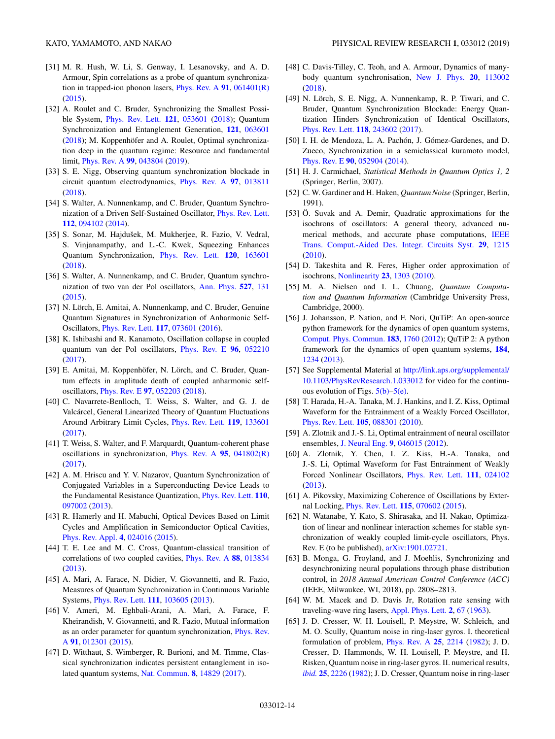- <span id="page-13-0"></span>[31] M. R. Hush, W. Li, S. Genway, I. Lesanovsky, and A. D. Armour, Spin correlations as a probe of quantum synchronization in trapped-ion phonon lasers, [Phys. Rev. A](https://doi.org/10.1103/PhysRevA.91.061401) **[91](https://doi.org/10.1103/PhysRevA.91.061401)**, [061401\(R\)](https://doi.org/10.1103/PhysRevA.91.061401) [\(2015\)](https://doi.org/10.1103/PhysRevA.91.061401).
- [32] A. Roulet and C. Bruder, Synchronizing the Smallest Possible System, [Phys. Rev. Lett.](https://doi.org/10.1103/PhysRevLett.121.053601) **[121](https://doi.org/10.1103/PhysRevLett.121.053601)**, [053601](https://doi.org/10.1103/PhysRevLett.121.053601) [\(2018\)](https://doi.org/10.1103/PhysRevLett.121.053601); Quantum Synchronization and Entanglement Generation, **[121](https://doi.org/10.1103/PhysRevLett.121.063601)**, [063601](https://doi.org/10.1103/PhysRevLett.121.063601) [\(2018\)](https://doi.org/10.1103/PhysRevLett.121.063601); M. Koppenhöfer and A. Roulet, Optimal synchronization deep in the quantum regime: Resource and fundamental limit, [Phys. Rev. A](https://doi.org/10.1103/PhysRevA.99.043804) **[99](https://doi.org/10.1103/PhysRevA.99.043804)**, [043804](https://doi.org/10.1103/PhysRevA.99.043804) [\(2019\)](https://doi.org/10.1103/PhysRevA.99.043804).
- [33] S. E. Nigg, Observing quantum synchronization blockade in circuit quantum electrodynamics, [Phys. Rev. A](https://doi.org/10.1103/PhysRevA.97.013811) **[97](https://doi.org/10.1103/PhysRevA.97.013811)**, [013811](https://doi.org/10.1103/PhysRevA.97.013811) [\(2018\)](https://doi.org/10.1103/PhysRevA.97.013811).
- [34] S. Walter, A. Nunnenkamp, and C. Bruder, Quantum Synchronization of a Driven Self-Sustained Oscillator, [Phys. Rev. Lett.](https://doi.org/10.1103/PhysRevLett.112.094102) **[112](https://doi.org/10.1103/PhysRevLett.112.094102)**, [094102](https://doi.org/10.1103/PhysRevLett.112.094102) [\(2014\)](https://doi.org/10.1103/PhysRevLett.112.094102).
- [35] S. Sonar, M. Hajdušek, M. Mukherjee, R. Fazio, V. Vedral, S. Vinjanampathy, and L.-C. Kwek, Squeezing Enhances Quantum Synchronization, [Phys. Rev. Lett.](https://doi.org/10.1103/PhysRevLett.120.163601) **[120](https://doi.org/10.1103/PhysRevLett.120.163601)**, [163601](https://doi.org/10.1103/PhysRevLett.120.163601) [\(2018\)](https://doi.org/10.1103/PhysRevLett.120.163601).
- [36] S. Walter, A. Nunnenkamp, and C. Bruder, Quantum synchronization of two van der Pol oscillators, [Ann. Phys.](https://doi.org/10.1002/andp.201400144) **[527](https://doi.org/10.1002/andp.201400144)**, [131](https://doi.org/10.1002/andp.201400144) [\(2015\)](https://doi.org/10.1002/andp.201400144).
- [37] N. Lörch, E. Amitai, A. Nunnenkamp, and C. Bruder, Genuine Quantum Signatures in Synchronization of Anharmonic Self-Oscillators, [Phys. Rev. Lett.](https://doi.org/10.1103/PhysRevLett.117.073601) **[117](https://doi.org/10.1103/PhysRevLett.117.073601)**, [073601](https://doi.org/10.1103/PhysRevLett.117.073601) [\(2016\)](https://doi.org/10.1103/PhysRevLett.117.073601).
- [38] K. Ishibashi and R. Kanamoto, Oscillation collapse in coupled quantum van der Pol oscillators, [Phys. Rev. E](https://doi.org/10.1103/PhysRevE.96.052210) **[96](https://doi.org/10.1103/PhysRevE.96.052210)**, [052210](https://doi.org/10.1103/PhysRevE.96.052210) [\(2017\)](https://doi.org/10.1103/PhysRevE.96.052210).
- [39] E. Amitai, M. Koppenhöfer, N. Lörch, and C. Bruder, Quantum effects in amplitude death of coupled anharmonic selfoscillators, [Phys. Rev. E](https://doi.org/10.1103/PhysRevE.97.052203) **[97](https://doi.org/10.1103/PhysRevE.97.052203)**, [052203](https://doi.org/10.1103/PhysRevE.97.052203) [\(2018\)](https://doi.org/10.1103/PhysRevE.97.052203).
- [40] C. Navarrete-Benlloch, T. Weiss, S. Walter, and G. J. de Valcárcel, General Linearized Theory of Quantum Fluctuations Around Arbitrary Limit Cycles, [Phys. Rev. Lett.](https://doi.org/10.1103/PhysRevLett.119.133601) **[119](https://doi.org/10.1103/PhysRevLett.119.133601)**, [133601](https://doi.org/10.1103/PhysRevLett.119.133601) [\(2017\)](https://doi.org/10.1103/PhysRevLett.119.133601).
- [41] T. Weiss, S. Walter, and F. Marquardt, Quantum-coherent phase oscillations in synchronization, [Phys. Rev. A](https://doi.org/10.1103/PhysRevA.95.041802) **[95](https://doi.org/10.1103/PhysRevA.95.041802)**, [041802\(R\)](https://doi.org/10.1103/PhysRevA.95.041802) [\(2017\)](https://doi.org/10.1103/PhysRevA.95.041802).
- [42] A. M. Hriscu and Y. V. Nazarov, Quantum Synchronization of Conjugated Variables in a Superconducting Device Leads to the Fundamental Resistance Quantization, [Phys. Rev. Lett.](https://doi.org/10.1103/PhysRevLett.110.097002) **[110](https://doi.org/10.1103/PhysRevLett.110.097002)**, [097002](https://doi.org/10.1103/PhysRevLett.110.097002) [\(2013\)](https://doi.org/10.1103/PhysRevLett.110.097002).
- [43] R. Hamerly and H. Mabuchi, Optical Devices Based on Limit Cycles and Amplification in Semiconductor Optical Cavities, [Phys. Rev. Appl.](https://doi.org/10.1103/PhysRevApplied.4.024016) **[4](https://doi.org/10.1103/PhysRevApplied.4.024016)**, [024016](https://doi.org/10.1103/PhysRevApplied.4.024016) [\(2015\)](https://doi.org/10.1103/PhysRevApplied.4.024016).
- [44] T. E. Lee and M. C. Cross, Quantum-classical transition of correlations of two coupled cavities, [Phys. Rev. A](https://doi.org/10.1103/PhysRevA.88.013834) **[88](https://doi.org/10.1103/PhysRevA.88.013834)**, [013834](https://doi.org/10.1103/PhysRevA.88.013834) [\(2013\)](https://doi.org/10.1103/PhysRevA.88.013834).
- [45] A. Mari, A. Farace, N. Didier, V. Giovannetti, and R. Fazio, Measures of Quantum Synchronization in Continuous Variable Systems, [Phys. Rev. Lett.](https://doi.org/10.1103/PhysRevLett.111.103605) **[111](https://doi.org/10.1103/PhysRevLett.111.103605)**, [103605](https://doi.org/10.1103/PhysRevLett.111.103605) [\(2013\)](https://doi.org/10.1103/PhysRevLett.111.103605).
- [46] V. Ameri, M. Eghbali-Arani, A. Mari, A. Farace, F. Kheirandish, V. Giovannetti, and R. Fazio, Mutual information [as an order parameter for quantum synchronization,](https://doi.org/10.1103/PhysRevA.91.012301) Phys. Rev. A **[91](https://doi.org/10.1103/PhysRevA.91.012301)**, [012301](https://doi.org/10.1103/PhysRevA.91.012301) [\(2015\)](https://doi.org/10.1103/PhysRevA.91.012301).
- [47] D. Witthaut, S. Wimberger, R. Burioni, and M. Timme, Classical synchronization indicates persistent entanglement in isolated quantum systems, [Nat. Commun.](https://doi.org/10.1038/ncomms14829) **[8](https://doi.org/10.1038/ncomms14829)**, [14829](https://doi.org/10.1038/ncomms14829) [\(2017\)](https://doi.org/10.1038/ncomms14829).
- [48] C. Davis-Tilley, C. Teoh, and A. Armour, Dynamics of manybody quantum synchronisation, [New J. Phys.](https://doi.org/10.1088/1367-2630/aae947) **[20](https://doi.org/10.1088/1367-2630/aae947)**, [113002](https://doi.org/10.1088/1367-2630/aae947) [\(2018\)](https://doi.org/10.1088/1367-2630/aae947).
- [49] N. Lörch, S. E. Nigg, A. Nunnenkamp, R. P. Tiwari, and C. Bruder, Quantum Synchronization Blockade: Energy Quantization Hinders Synchronization of Identical Oscillators, [Phys. Rev. Lett.](https://doi.org/10.1103/PhysRevLett.118.243602) **[118](https://doi.org/10.1103/PhysRevLett.118.243602)**, [243602](https://doi.org/10.1103/PhysRevLett.118.243602) [\(2017\)](https://doi.org/10.1103/PhysRevLett.118.243602).
- [50] I. H. de Mendoza, L. A. Pachón, J. Gómez-Gardenes, and D. Zueco, Synchronization in a semiclassical kuramoto model, [Phys. Rev. E](https://doi.org/10.1103/PhysRevE.90.052904) **[90](https://doi.org/10.1103/PhysRevE.90.052904)**, [052904](https://doi.org/10.1103/PhysRevE.90.052904) [\(2014\)](https://doi.org/10.1103/PhysRevE.90.052904).
- [51] H. J. Carmichael, *Statistical Methods in Quantum Optics 1, 2* (Springer, Berlin, 2007).
- [52] C. W. Gardiner and H. Haken, *Quantum Noise* (Springer, Berlin, 1991).
- [53] Ö. Suvak and A. Demir, Quadratic approximations for the isochrons of oscillators: A general theory, advanced nu[merical methods, and accurate phase computations,](https://doi.org/10.1109/TCAD.2010.2049056) IEEE Trans. Comput.-Aided Des. Integr. Circuits Syst. **[29](https://doi.org/10.1109/TCAD.2010.2049056)**, [1215](https://doi.org/10.1109/TCAD.2010.2049056) [\(2010\)](https://doi.org/10.1109/TCAD.2010.2049056).
- [54] D. Takeshita and R. Feres, Higher order approximation of isochrons, [Nonlinearity](https://doi.org/10.1088/0951-7715/23/6/004) **[23](https://doi.org/10.1088/0951-7715/23/6/004)**, [1303](https://doi.org/10.1088/0951-7715/23/6/004) [\(2010\)](https://doi.org/10.1088/0951-7715/23/6/004).
- [55] M. A. Nielsen and I. L. Chuang, *Quantum Computation and Quantum Information* (Cambridge University Press, Cambridge, 2000).
- [56] J. Johansson, P. Nation, and F. Nori, QuTiP: An open-source python framework for the dynamics of open quantum systems, [Comput. Phys. Commun.](https://doi.org/10.1016/j.cpc.2012.02.021) **[183](https://doi.org/10.1016/j.cpc.2012.02.021)**, [1760](https://doi.org/10.1016/j.cpc.2012.02.021) [\(2012\)](https://doi.org/10.1016/j.cpc.2012.02.021); QuTiP 2: A python framework for the dynamics of open quantum systems, **[184](https://doi.org/10.1016/j.cpc.2012.11.019)**, [1234](https://doi.org/10.1016/j.cpc.2012.11.019) [\(2013\)](https://doi.org/10.1016/j.cpc.2012.11.019).
- [57] See Supplemental Material at http://link.aps.org/supplemental/ [10.1103/PhysRevResearch.1.033012](http://link.aps.org/supplemental/10.1103/PhysRevResearch.1.033012) for video for the continuous evolution of Figs.  $5(b)$ – $5(e)$ .
- [58] T. Harada, H.-A. Tanaka, M. J. Hankins, and I. Z. Kiss, Optimal Waveform for the Entrainment of a Weakly Forced Oscillator, [Phys. Rev. Lett.](https://doi.org/10.1103/PhysRevLett.105.088301) **[105](https://doi.org/10.1103/PhysRevLett.105.088301)**, [088301](https://doi.org/10.1103/PhysRevLett.105.088301) [\(2010\)](https://doi.org/10.1103/PhysRevLett.105.088301).
- [59] A. Zlotnik and J.-S. Li, Optimal entrainment of neural oscillator ensembles, [J. Neural Eng.](https://doi.org/10.1088/1741-2560/9/4/046015) **[9](https://doi.org/10.1088/1741-2560/9/4/046015)**, [046015](https://doi.org/10.1088/1741-2560/9/4/046015) [\(2012\)](https://doi.org/10.1088/1741-2560/9/4/046015).
- [60] A. Zlotnik, Y. Chen, I. Z. Kiss, H.-A. Tanaka, and J.-S. Li, Optimal Waveform for Fast Entrainment of Weakly Forced Nonlinear Oscillators, [Phys. Rev. Lett.](https://doi.org/10.1103/PhysRevLett.111.024102) **[111](https://doi.org/10.1103/PhysRevLett.111.024102)**, [024102](https://doi.org/10.1103/PhysRevLett.111.024102) [\(2013\)](https://doi.org/10.1103/PhysRevLett.111.024102).
- [61] A. Pikovsky, Maximizing Coherence of Oscillations by External Locking, [Phys. Rev. Lett.](https://doi.org/10.1103/PhysRevLett.115.070602) **[115](https://doi.org/10.1103/PhysRevLett.115.070602)**, [070602](https://doi.org/10.1103/PhysRevLett.115.070602) [\(2015\)](https://doi.org/10.1103/PhysRevLett.115.070602).
- [62] N. Watanabe, Y. Kato, S. Shirasaka, and H. Nakao, Optimization of linear and nonlinear interaction schemes for stable synchronization of weakly coupled limit-cycle oscillators, Phys. Rev. E (to be published), [arXiv:1901.02721.](http://arxiv.org/abs/arXiv:1901.02721)
- [63] B. Monga, G. Froyland, and J. Moehlis, Synchronizing and desynchronizing neural populations through phase distribution control, in *2018 Annual American Control Conference (ACC)* (IEEE, Milwaukee, WI, 2018), pp. 2808–2813.
- [64] W. M. Macek and D. Davis Jr, Rotation rate sensing with traveling-wave ring lasers, [Appl. Phys. Lett.](https://doi.org/10.1063/1.1753778) **[2](https://doi.org/10.1063/1.1753778)**, [67](https://doi.org/10.1063/1.1753778) [\(1963\)](https://doi.org/10.1063/1.1753778).
- [65] J. D. Cresser, W. H. Louisell, P. Meystre, W. Schleich, and M. O. Scully, Quantum noise in ring-laser gyros. I. theoretical formulation of problem, [Phys. Rev. A](https://doi.org/10.1103/PhysRevA.25.2214) **[25](https://doi.org/10.1103/PhysRevA.25.2214)**, [2214](https://doi.org/10.1103/PhysRevA.25.2214) [\(1982\)](https://doi.org/10.1103/PhysRevA.25.2214); J. D. Cresser, D. Hammonds, W. H. Louisell, P. Meystre, and H. Risken, Quantum noise in ring-laser gyros. II. numerical results, *[ibid.](https://doi.org/10.1103/PhysRevA.25.2226)* **[25](https://doi.org/10.1103/PhysRevA.25.2226)**, [2226](https://doi.org/10.1103/PhysRevA.25.2226) [\(1982\)](https://doi.org/10.1103/PhysRevA.25.2226); J. D. Cresser, Quantum noise in ring-laser